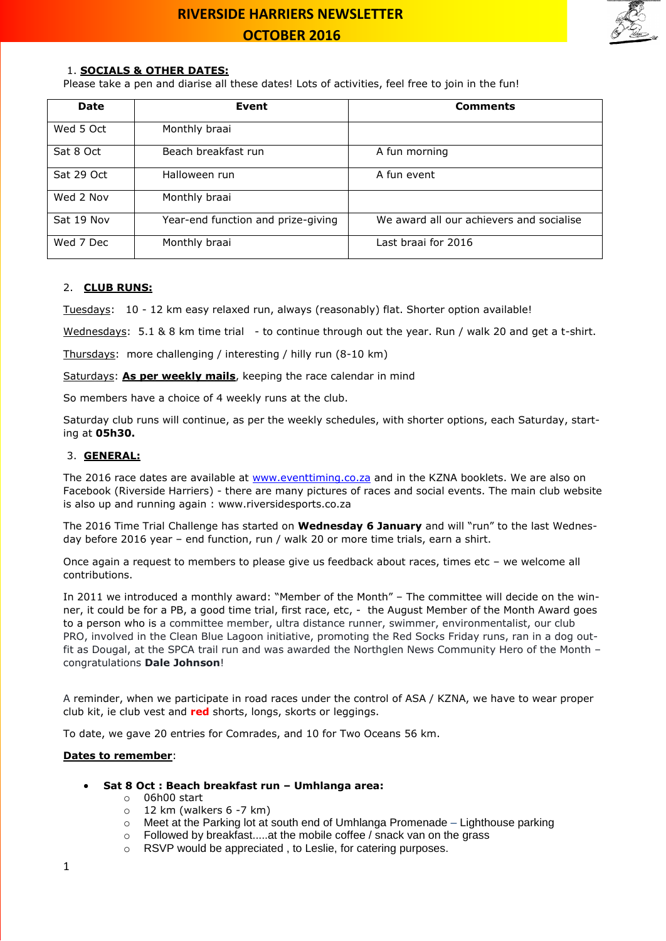

### 1. **SOCIALS & OTHER DATES:**

Please take a pen and diarise all these dates! Lots of activities, feel free to join in the fun!

| <b>Date</b> | Event                              | <b>Comments</b>                          |
|-------------|------------------------------------|------------------------------------------|
| Wed 5 Oct   | Monthly braai                      |                                          |
| Sat 8 Oct   | Beach breakfast run                | A fun morning                            |
| Sat 29 Oct  | Halloween run                      | A fun event                              |
| Wed 2 Nov   | Monthly braai                      |                                          |
| Sat 19 Nov  | Year-end function and prize-giving | We award all our achievers and socialise |
| Wed 7 Dec   | Monthly braai                      | Last braai for 2016                      |

### 2. **CLUB RUNS:**

Tuesdays: 10 - 12 km easy relaxed run, always (reasonably) flat. Shorter option available!

Wednesdays: 5.1 & 8 km time trial - to continue through out the year. Run / walk 20 and get a t-shirt.

Thursdays: more challenging / interesting / hilly run (8-10 km)

Saturdays: **As per weekly mails**, keeping the race calendar in mind

So members have a choice of 4 weekly runs at the club.

Saturday club runs will continue, as per the weekly schedules, with shorter options, each Saturday, starting at **05h30.**

#### 3. **GENERAL:**

The 2016 race dates are available at [www.eventtiming.co.za](http://www.eventtiming.co.za/) and in the KZNA booklets. We are also on Facebook (Riverside Harriers) - there are many pictures of races and social events. The main club website is also up and running again : www.riversidesports.co.za

The 2016 Time Trial Challenge has started on **Wednesday 6 January** and will "run" to the last Wednesday before 2016 year – end function, run / walk 20 or more time trials, earn a shirt.

Once again a request to members to please give us feedback about races, times etc – we welcome all contributions.

In 2011 we introduced a monthly award: "Member of the Month" – The committee will decide on the winner, it could be for a PB, a good time trial, first race, etc, - the August Member of the Month Award goes to a person who is a committee member, ultra distance runner, swimmer, environmentalist, our club PRO, involved in the Clean Blue Lagoon initiative, promoting the Red Socks Friday runs, ran in a dog outfit as Dougal, at the SPCA trail run and was awarded the Northglen News Community Hero of the Month – congratulations **Dale Johnson**!

A reminder, when we participate in road races under the control of ASA / KZNA, we have to wear proper club kit, ie club vest and **red** shorts, longs, skorts or leggings.

To date, we gave 20 entries for Comrades, and 10 for Two Oceans 56 km.

#### **Dates to remember**:

- **Sat 8 Oct : Beach breakfast run – Umhlanga area:**
	- o 06h00 start
	- $\circ$  12 km (walkers 6 -7 km)
	- o Meet at the Parking lot at south end of Umhlanga Promenade Lighthouse parking
	- o Followed by breakfast.....at the mobile coffee / snack van on the grass
	- o RSVP would be appreciated , to Leslie, for catering purposes.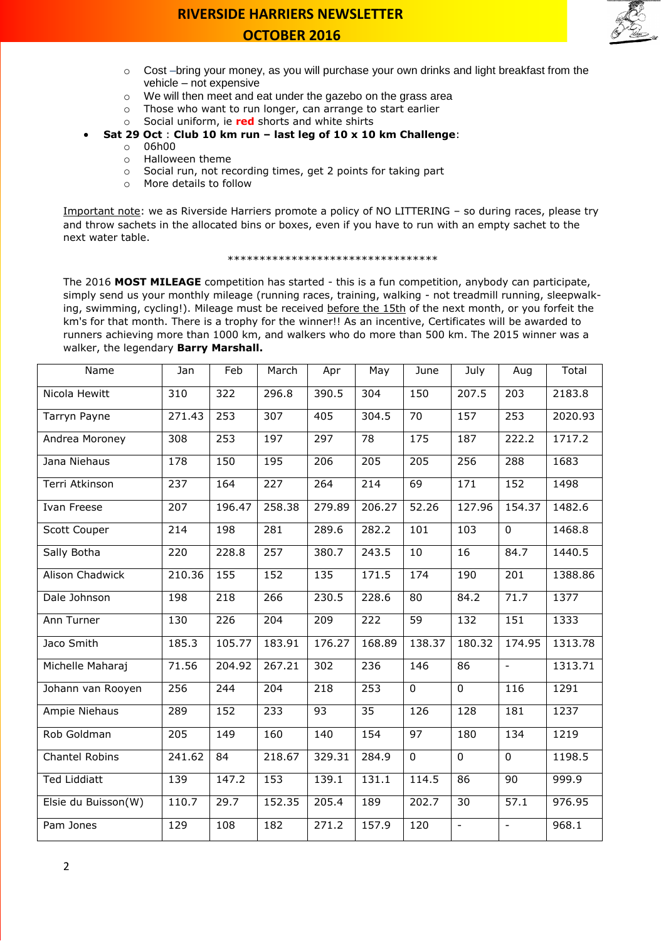

- $\circ$  Cost –bring your money, as you will purchase your own drinks and light breakfast from the vehicle – not expensive
- o We will then meet and eat under the gazebo on the grass area
- o Those who want to run longer, can arrange to start earlier
- o Social uniform, ie **red** shorts and white shirts
- **Sat 29 Oct** : **Club 10 km run – last leg of 10 x 10 km Challenge**:
	- o 06h00
	- o Halloween theme
	- o Social run, not recording times, get 2 points for taking part
	- o More details to follow

Important note: we as Riverside Harriers promote a policy of NO LITTERING – so during races, please try and throw sachets in the allocated bins or boxes, even if you have to run with an empty sachet to the next water table.

#### \*\*\*\*\*\*\*\*\*\*\*\*\*\*\*\*\*\*\*\*\*\*\*\*\*\*\*\*\*\*\*\*\*

The 2016 **MOST MILEAGE** competition has started - this is a fun competition, anybody can participate, simply send us your monthly mileage (running races, training, walking - not treadmill running, sleepwalking, swimming, cycling!). Mileage must be received before the 15th of the next month, or you forfeit the km's for that month. There is a trophy for the winner!! As an incentive, Certificates will be awarded to runners achieving more than 1000 km, and walkers who do more than 500 km. The 2015 winner was a walker, the legendary **Barry Marshall.**

| Name                | Jan              | Feb    | March  | Apr    | May             | June              | July                     | Aug                      | Total   |
|---------------------|------------------|--------|--------|--------|-----------------|-------------------|--------------------------|--------------------------|---------|
| Nicola Hewitt       | 310              | 322    | 296.8  | 390.5  | 304             | 150               | 207.5                    | 203                      | 2183.8  |
| Tarryn Payne        | 271.43           | 253    | 307    | 405    | 304.5           | 70                | 157                      | 253                      | 2020.93 |
| Andrea Moroney      | 308              | 253    | 197    | 297    | $\overline{78}$ | $\frac{175}{175}$ | 187                      | 222.2                    | 1717.2  |
| Jana Niehaus        | 178              | 150    | 195    | 206    | 205             | 205               | 256                      | 288                      | 1683    |
| Terri Atkinson      | 237              | 164    | 227    | 264    | 214             | 69                | 171                      | 152                      | 1498    |
| Ivan Freese         | 207              | 196.47 | 258.38 | 279.89 | 206.27          | 52.26             | 127.96                   | 154.37                   | 1482.6  |
| Scott Couper        | $\overline{214}$ | 198    | 281    | 289.6  | 282.2           | 101               | 103                      | $\mathbf 0$              | 1468.8  |
| Sally Botha         | 220              | 228.8  | 257    | 380.7  | 243.5           | 10                | 16                       | 84.7                     | 1440.5  |
| Alison Chadwick     | 210.36           | 155    | 152    | 135    | 171.5           | 174               | 190                      | 201                      | 1388.86 |
| Dale Johnson        | 198              | 218    | 266    | 230.5  | 228.6           | 80                | 84.2                     | 71.7                     | 1377    |
| Ann Turner          | 130              | 226    | 204    | 209    | 222             | 59                | 132                      | 151                      | 1333    |
| Jaco Smith          | 185.3            | 105.77 | 183.91 | 176.27 | 168.89          | 138.37            | 180.32                   | 174.95                   | 1313.78 |
| Michelle Maharaj    | 71.56            | 204.92 | 267.21 | 302    | 236             | 146               | 86                       | $\overline{\phantom{a}}$ | 1313.71 |
| Johann van Rooyen   | 256              | 244    | 204    | 218    | 253             | $\overline{0}$    | $\mathbf 0$              | 116                      | 1291    |
| Ampie Niehaus       | 289              | 152    | 233    | 93     | 35              | 126               | 128                      | 181                      | 1237    |
| Rob Goldman         | 205              | 149    | 160    | 140    | 154             | 97                | 180                      | 134                      | 1219    |
| Chantel Robins      | 241.62           | 84     | 218.67 | 329.31 | 284.9           | $\mathbf 0$       | $\mathbf 0$              | $\mathbf 0$              | 1198.5  |
| <b>Ted Liddiatt</b> | 139              | 147.2  | 153    | 139.1  | 131.1           | 114.5             | 86                       | 90                       | 999.9   |
| Elsie du Buisson(W) | 110.7            | 29.7   | 152.35 | 205.4  | 189             | 202.7             | 30                       | 57.1                     | 976.95  |
| Pam Jones           | 129              | 108    | 182    | 271.2  | 157.9           | 120               | $\overline{\phantom{a}}$ | $\overline{\phantom{a}}$ | 968.1   |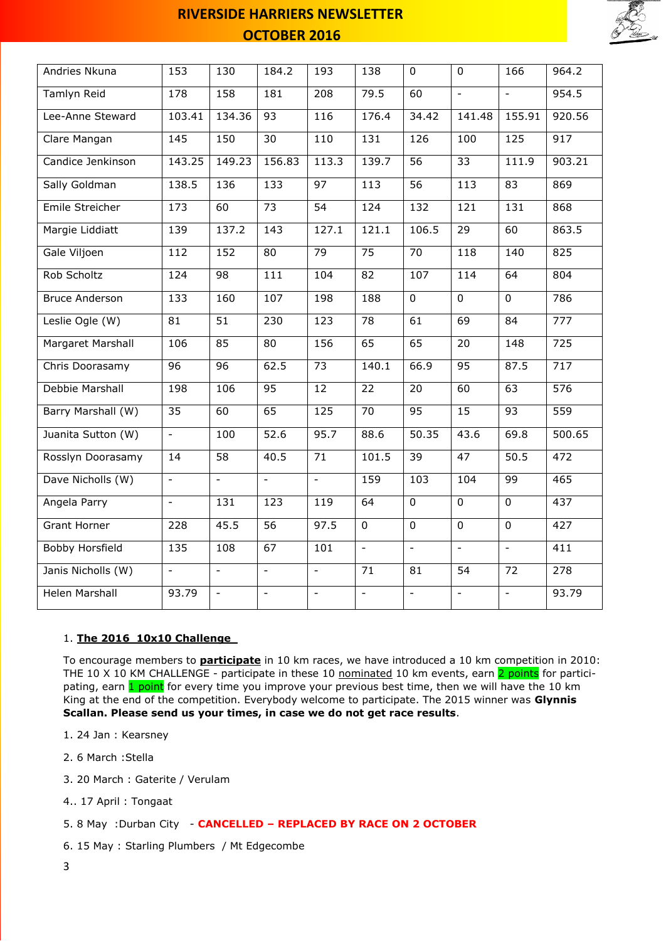

| Andries Nkuna         | 153                      | 130                      | 184.2                    | 193                      | 138             | $\mathbf 0$     | $\overline{0}$           | 166              | 964.2            |
|-----------------------|--------------------------|--------------------------|--------------------------|--------------------------|-----------------|-----------------|--------------------------|------------------|------------------|
| Tamlyn Reid           | 178                      | 158                      | 181                      | 208                      | 79.5            | 60              | $\equiv$                 | $\equiv$         | 954.5            |
| Lee-Anne Steward      | 103.41                   | 134.36                   | 93                       | 116                      | 176.4           | 34.42           | 141.48                   | 155.91           | 920.56           |
| Clare Mangan          | 145                      | 150                      | $\overline{30}$          | 110                      | 131             | 126             | 100                      | $\overline{125}$ | 917              |
| Candice Jenkinson     | 143.25                   | 149.23                   | 156.83                   | 113.3                    | 139.7           | 56              | $\overline{33}$          | 111.9            | 903.21           |
| Sally Goldman         | 138.5                    | 136                      | 133                      | $\overline{97}$          | 113             | $\overline{56}$ | 113                      | $\overline{83}$  | 869              |
| Emile Streicher       | 173                      | 60                       | $\overline{73}$          | $\overline{54}$          | 124             | 132             | 121                      | 131              | 868              |
| Margie Liddiatt       | 139                      | 137.2                    | 143                      | 127.1                    | 121.1           | 106.5           | 29                       | 60               | 863.5            |
| Gale Viljoen          | 112                      | 152                      | 80                       | $\overline{79}$          | $\overline{75}$ | 70              | 118                      | 140              | 825              |
| Rob Scholtz           | 124                      | 98                       | 111                      | 104                      | 82              | 107             | 114                      | 64               | 804              |
| <b>Bruce Anderson</b> | 133                      | 160                      | 107                      | 198                      | 188             | $\mathbf 0$     | $\mathbf 0$              | $\mathbf 0$      | 786              |
| Leslie Ogle (W)       | 81                       | $\overline{51}$          | 230                      | 123                      | 78              | 61              | 69                       | 84               | 777              |
| Margaret Marshall     | 106                      | 85                       | $\overline{80}$          | 156                      | 65              | 65              | 20                       | 148              | 725              |
| Chris Doorasamy       | $\overline{96}$          | $\overline{96}$          | 62.5                     | $\overline{73}$          | 140.1           | 66.9            | 95                       | 87.5             | $\overline{717}$ |
| Debbie Marshall       | 198                      | 106                      | 95                       | $\overline{12}$          | $\overline{22}$ | $\overline{20}$ | 60                       | 63               | $\overline{576}$ |
| Barry Marshall (W)    | 35                       | 60                       | 65                       | 125                      | 70              | 95              | 15                       | 93               | 559              |
| Juanita Sutton (W)    | $\blacksquare$           | 100                      | 52.6                     | 95.7                     | 88.6            | 50.35           | 43.6                     | 69.8             | 500.65           |
| Rosslyn Doorasamy     | 14                       | 58                       | 40.5                     | 71                       | 101.5           | $\overline{39}$ | $\overline{47}$          | 50.5             | 472              |
| Dave Nicholls (W)     | $\overline{\phantom{a}}$ | $\overline{\phantom{a}}$ | $\equiv$                 | $\blacksquare$           | 159             | 103             | 104                      | 99               | 465              |
| Angela Parry          | $\overline{\phantom{a}}$ | 131                      | 123                      | 119                      | 64              | $\overline{0}$  | $\overline{0}$           | $\mathbf 0$      | 437              |
| <b>Grant Horner</b>   | 228                      | 45.5                     | 56                       | 97.5                     | $\mathbf 0$     | $\mathbf 0$     | $\mathbf 0$              | $\mathbf 0$      | 427              |
| Bobby Horsfield       | 135                      | 108                      | 67                       | 101                      | $\mathbb{L}$    | $\equiv$        | $\equiv$                 | $\mathbb{L}$     | 411              |
| Janis Nicholls (W)    | $\equiv$                 | $\equiv$                 | $\overline{\phantom{a}}$ | $\equiv$                 | 71              | 81              | $\overline{54}$          | $\overline{72}$  | $\overline{278}$ |
| <b>Helen Marshall</b> | 93.79                    | $\overline{\phantom{a}}$ | $\overline{\phantom{a}}$ | $\overline{\phantom{a}}$ | $\equiv$        | $\Box$          | $\overline{\phantom{a}}$ | $\blacksquare$   | 93.79            |

### 1. **The 2016 10x10 Challenge**

To encourage members to **participate** in 10 km races, we have introduced a 10 km competition in 2010: THE 10 X 10 KM CHALLENGE - participate in these 10 nominated 10 km events, earn 2 points for participating, earn 1 point for every time you improve your previous best time, then we will have the 10 km King at the end of the competition. Everybody welcome to participate. The 2015 winner was **Glynnis Scallan. Please send us your times, in case we do not get race results**.

- 1. 24 Jan : Kearsney
- 2. 6 March :Stella
- 3. 20 March : Gaterite / Verulam
- 4.. 17 April : Tongaat

5. 8 May :Durban City - **CANCELLED – REPLACED BY RACE ON 2 OCTOBER**

- 6. 15 May : Starling Plumbers / Mt Edgecombe
- 3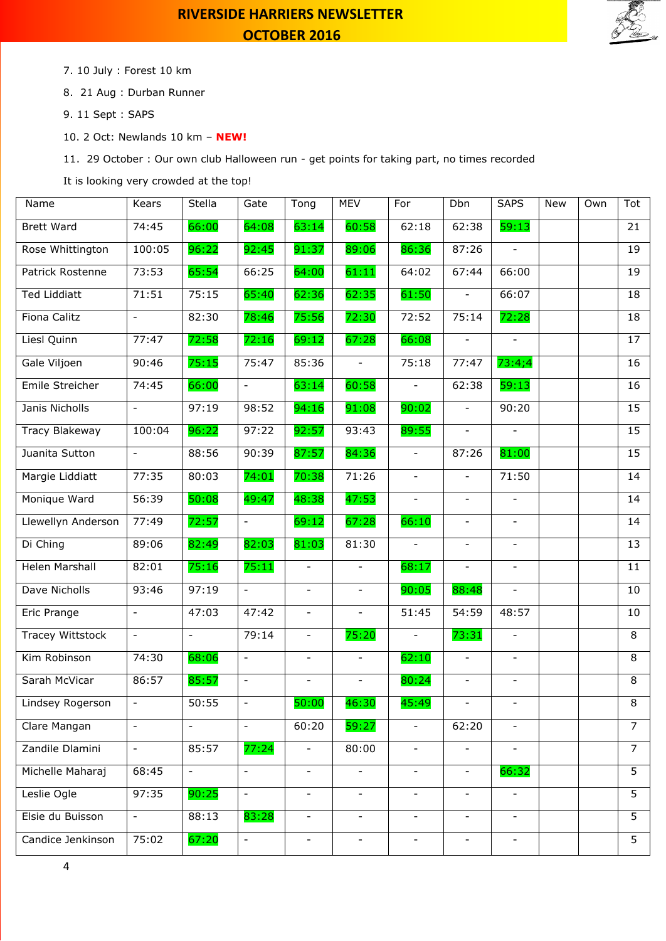

7. 10 July : Forest 10 km

- 8. 21 Aug : Durban Runner
- 9. 11 Sept : SAPS
- 10. 2 Oct: Newlands 10 km **NEW!**

11. 29 October : Our own club Halloween run - get points for taking part, no times recorded

It is looking very crowded at the top!

| Name                    | Kears                    | Stella                   | Gate                     | Tong                     | <b>MEV</b>               | For                      | Dbn                      | <b>SAPS</b>              | New | Own | Tot            |
|-------------------------|--------------------------|--------------------------|--------------------------|--------------------------|--------------------------|--------------------------|--------------------------|--------------------------|-----|-----|----------------|
| <b>Brett Ward</b>       | 74:45                    | 66:00                    | 64:08                    | 63:14                    | 60:58                    | 62:18                    | 62:38                    | 59:13                    |     |     | 21             |
| Rose Whittington        | 100:05                   | 96:22                    | 92:45                    | 91:37                    | 89:06                    | 86:36                    | 87:26                    | $\overline{\phantom{a}}$ |     |     | 19             |
| Patrick Rostenne        | 73:53                    | 65:54                    | 66:25                    | 64:00                    | 61:11                    | 64:02                    | 67:44                    | 66:00                    |     |     | 19             |
| <b>Ted Liddiatt</b>     | 71:51                    | 75:15                    | 65:40                    | 62:36                    | 62:35                    | 61:50                    | $\blacksquare$           | 66:07                    |     |     | 18             |
| Fiona Calitz            | $\equiv$                 | 82:30                    | 78:46                    | 75:56                    | 72:30                    | 72:52                    | 75:14                    | 72:28                    |     |     | 18             |
| Liesl Quinn             | 77:47                    | 72:58                    | 72:16                    | 69:12                    | 67:28                    | 66:08                    | $\overline{\phantom{a}}$ |                          |     |     | 17             |
| Gale Viljoen            | 90:46                    | 75:15                    | 75:47                    | 85:36                    | $\overline{\phantom{a}}$ | 75:18                    | 77:47                    | 73:4;4                   |     |     | 16             |
| Emile Streicher         | 74:45                    | 66:00                    | $\equiv$                 | 63:14                    | 60:58                    | $\equiv$                 | 62:38                    | 59:13                    |     |     | 16             |
| Janis Nicholls          | $\overline{\phantom{0}}$ | 97:19                    | 98:52                    | 94:16                    | 91:08                    | 90:02                    | $\overline{\phantom{a}}$ | 90:20                    |     |     | 15             |
| Tracy Blakeway          | 100:04                   | 96:22                    | 97:22                    | 92:57                    | 93:43                    | 89:55                    | $\overline{\phantom{a}}$ | $\overline{\phantom{a}}$ |     |     | 15             |
| Juanita Sutton          | $\overline{\phantom{0}}$ | 88:56                    | 90:39                    | 87:57                    | 84:36                    | $\equiv$                 | 87:26                    | 81:00                    |     |     | 15             |
| Margie Liddiatt         | 77:35                    | 80:03                    | 74:01                    | 70:38                    | 71:26                    | $\blacksquare$           | $\overline{\phantom{a}}$ | 71:50                    |     |     | 14             |
| Monique Ward            | 56:39                    | 50:08                    | 49:47                    | 48:38                    | 47:53                    | $\blacksquare$           | $\overline{\phantom{a}}$ | $\overline{\phantom{a}}$ |     |     | 14             |
| Llewellyn Anderson      | 77:49                    | 72:57                    | $\overline{\phantom{a}}$ | 69:12                    | 67:28                    | 66:10                    | $\overline{\phantom{a}}$ | $\overline{\phantom{a}}$ |     |     | 14             |
| Di Ching                | 89:06                    | 82:49                    | 82:03                    | 81:03                    | 81:30                    | $\blacksquare$           | $\overline{\phantom{a}}$ | $\overline{\phantom{a}}$ |     |     | 13             |
| Helen Marshall          | 82:01                    | 75:16                    | 75:11                    | $\equiv$                 | $\equiv$                 | 68:17                    | $\equiv$                 | $\blacksquare$           |     |     | 11             |
| Dave Nicholls           | 93:46                    | 97:19                    | $\blacksquare$           | $\overline{\phantom{a}}$ | $\blacksquare$           | 90:05                    | 88:48                    | $\overline{\phantom{a}}$ |     |     | 10             |
| Eric Prange             | $\overline{\phantom{0}}$ | 47:03                    | 47:42                    | $\overline{\phantom{a}}$ | $\overline{\phantom{a}}$ | 51:45                    | 54:59                    | 48:57                    |     |     | 10             |
| <b>Tracey Wittstock</b> | $\overline{\phantom{0}}$ |                          | 79:14                    |                          | 75:20                    |                          | 73:31                    | $\overline{\phantom{a}}$ |     |     | 8              |
| Kim Robinson            | 74:30                    | 68:06                    | $\overline{\phantom{a}}$ | $\overline{\phantom{a}}$ |                          | 62:10                    | $\overline{\phantom{a}}$ | $\overline{\phantom{a}}$ |     |     | 8              |
| Sarah McVicar           | 86:57                    | 85:57                    | $\mathbf{r}$             | $\equiv$                 | $\equiv$                 | 80:24                    | $\equiv$                 | $\overline{\phantom{a}}$ |     |     | 8              |
| Lindsey Rogerson        | -                        | 50:55                    | $\overline{\phantom{a}}$ | 50:00                    | 46:30                    | 45:49                    |                          |                          |     |     | 8              |
| Clare Mangan            | $\blacksquare$           | $\overline{\phantom{a}}$ | $\equiv$                 | 60:20                    | 59:27                    | $\overline{\phantom{a}}$ | 62:20                    | $\overline{\phantom{a}}$ |     |     | $\overline{7}$ |
| Zandile Dlamini         | $\overline{\phantom{0}}$ | 85:57                    | 77:24                    |                          | 80:00                    | $\overline{\phantom{a}}$ |                          |                          |     |     | $\overline{7}$ |
| Michelle Maharaj        | 68:45                    | $\overline{\phantom{a}}$ | $\equiv$                 | $\overline{\phantom{a}}$ | $\blacksquare$           | $\overline{\phantom{0}}$ | $\overline{\phantom{a}}$ | 66:32                    |     |     | 5              |
| Leslie Ogle             | 97:35                    | 90:25                    | $\overline{\phantom{a}}$ | $\overline{\phantom{a}}$ | $\overline{\phantom{a}}$ | $\overline{\phantom{a}}$ | $\overline{\phantom{a}}$ | $\overline{\phantom{a}}$ |     |     | $\overline{5}$ |
| Elsie du Buisson        | $-$                      | 88:13                    | 83:28                    | $\overline{\phantom{a}}$ | $\overline{\phantom{a}}$ | $\overline{\phantom{0}}$ | $\overline{\phantom{a}}$ | $\overline{\phantom{a}}$ |     |     | $\overline{5}$ |
| Candice Jenkinson       | 75:02                    | 67:20                    | $\overline{\phantom{a}}$ | $\overline{\phantom{a}}$ | $\overline{\phantom{a}}$ | $\overline{\phantom{a}}$ | $\overline{\phantom{a}}$ | $\overline{\phantom{a}}$ |     |     | 5 <sup>1</sup> |
|                         |                          |                          |                          |                          |                          |                          |                          |                          |     |     |                |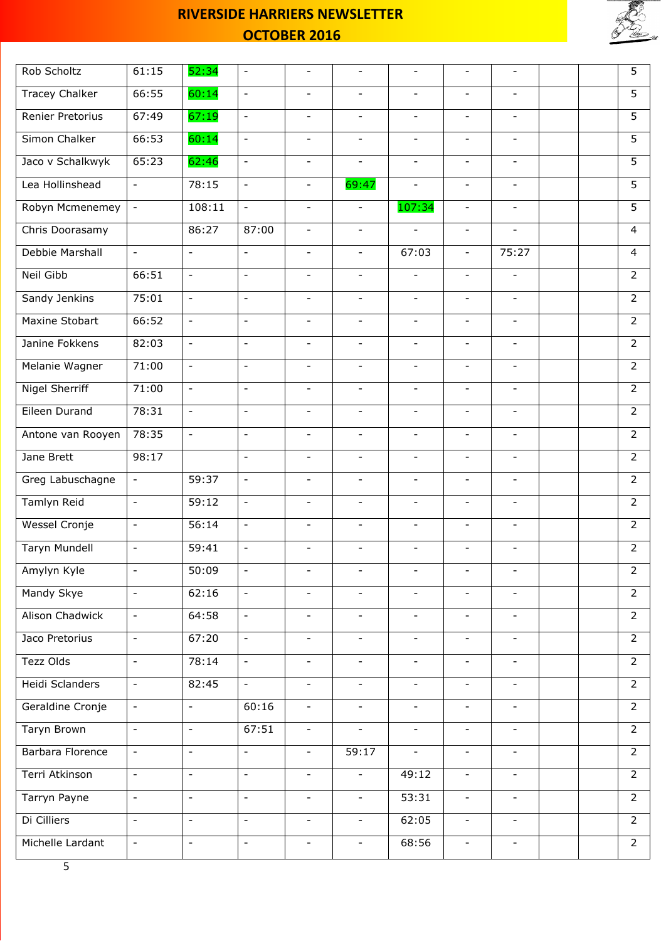

| Rob Scholtz           | 61:15                    | 52:34                    | $\overline{\phantom{a}}$ | $\overline{\phantom{a}}$ |                              | $\overline{\phantom{a}}$ | $\overline{\phantom{a}}$ |                          |  | 5              |
|-----------------------|--------------------------|--------------------------|--------------------------|--------------------------|------------------------------|--------------------------|--------------------------|--------------------------|--|----------------|
| <b>Tracey Chalker</b> | 66:55                    | 60:14                    | $\overline{\phantom{a}}$ | $\blacksquare$           | $\overline{\phantom{a}}$     | $\overline{\phantom{a}}$ | $\blacksquare$           | $\overline{\phantom{a}}$ |  | $\overline{5}$ |
| Renier Pretorius      | 67:49                    | 67:19                    | $\overline{\phantom{a}}$ |                          |                              | $\overline{\phantom{a}}$ | $\overline{\phantom{a}}$ |                          |  | 5              |
| Simon Chalker         | 66:53                    | 60:14                    | $\equiv$                 | $\overline{\phantom{a}}$ | $\overline{\phantom{a}}$     | $\overline{\phantom{a}}$ | $\blacksquare$           | $\overline{\phantom{a}}$ |  | $\overline{5}$ |
| Jaco v Schalkwyk      | 65:23                    | 62:46                    | $\equiv$                 | $\overline{\phantom{a}}$ | $\overline{\phantom{a}}$     | $\overline{\phantom{a}}$ | $\blacksquare$           | $\overline{\phantom{a}}$ |  | 5              |
| Lea Hollinshead       | $\equiv$                 | 78:15                    | $\blacksquare$           | $\overline{\phantom{a}}$ | 69:47                        |                          | $\blacksquare$           |                          |  | 5              |
| Robyn Mcmenemey       | $\overline{\phantom{a}}$ | 108:11                   | $\overline{\phantom{a}}$ | $\overline{\phantom{a}}$ | $\qquad \qquad -$            | 107:34                   | $\overline{\phantom{a}}$ | $\overline{\phantom{a}}$ |  | 5              |
| Chris Doorasamy       |                          | 86:27                    | 87:00                    | $\blacksquare$           | $\equiv$                     | $\equiv$                 | $\equiv$                 | $\blacksquare$           |  | $\overline{4}$ |
| Debbie Marshall       | $\overline{\phantom{a}}$ | $\blacksquare$           | $\blacksquare$           | $\overline{\phantom{a}}$ | $\overline{\phantom{a}}$     | 67:03                    | $\overline{\phantom{a}}$ | 75:27                    |  | 4              |
| <b>Neil Gibb</b>      | 66:51                    | $\overline{\phantom{a}}$ | $\overline{\phantom{a}}$ | $\overline{\phantom{a}}$ | $\overline{\phantom{a}}$     | $\overline{\phantom{0}}$ | $\blacksquare$           | $\overline{\phantom{a}}$ |  | $\overline{2}$ |
| Sandy Jenkins         | 75:01                    | $\equiv$                 | $\blacksquare$           | $\blacksquare$           | $\overline{\phantom{a}}$     | $\overline{\phantom{0}}$ | $\blacksquare$           | $\overline{\phantom{a}}$ |  | $\overline{2}$ |
| Maxine Stobart        | 66:52                    | $\mathbb{L}$             | $\overline{\phantom{a}}$ | $\overline{\phantom{a}}$ | $\overline{\phantom{a}}$     | $\frac{1}{2}$            | $\overline{\phantom{a}}$ | $\overline{\phantom{a}}$ |  | $\overline{2}$ |
| Janine Fokkens        | 82:03                    | $\equiv$                 | $\overline{\phantom{a}}$ | $\overline{\phantom{a}}$ | $\overline{\phantom{a}}$     | $\equiv$                 | $\equiv$                 | $\overline{\phantom{a}}$ |  | $\overline{2}$ |
| Melanie Wagner        | 71:00                    | $\overline{\phantom{a}}$ | $\overline{\phantom{a}}$ | $\overline{\phantom{a}}$ | $\overline{\phantom{a}}$     | $\overline{\phantom{a}}$ | $\overline{\phantom{a}}$ | $\overline{\phantom{a}}$ |  | $\overline{2}$ |
| <b>Nigel Sherriff</b> | 71:00                    | $\overline{\phantom{a}}$ | $\overline{\phantom{a}}$ | $\blacksquare$           | $\overline{\phantom{a}}$     | $\overline{\phantom{0}}$ | $\blacksquare$           | $\overline{\phantom{a}}$ |  | $\overline{2}$ |
| Eileen Durand         | 78:31                    | $\blacksquare$           | $\overline{\phantom{a}}$ |                          |                              | $\overline{\phantom{a}}$ | $\overline{\phantom{a}}$ |                          |  | $\overline{2}$ |
| Antone van Rooyen     | 78:35                    | $\Box$                   | $\blacksquare$           | $\qquad \qquad -$        | $\overline{\phantom{a}}$     | $\frac{1}{2}$            | $\blacksquare$           | $\overline{\phantom{a}}$ |  | $\overline{2}$ |
| Jane Brett            | 98:17                    |                          | $\equiv$                 | $\overline{\phantom{a}}$ | $\overline{\phantom{a}}$     | $\overline{\phantom{a}}$ | $\blacksquare$           | $\overline{\phantom{a}}$ |  | $\overline{2}$ |
| Greg Labuschagne      | $\frac{1}{2}$            | 59:37                    | $\blacksquare$           | $\overline{\phantom{a}}$ | $\overline{\phantom{a}}$     | $\overline{\phantom{a}}$ | $\blacksquare$           | $\overline{\phantom{a}}$ |  | $\overline{2}$ |
| Tamlyn Reid           | $\overline{\phantom{a}}$ | 59:12                    | $\overline{\phantom{a}}$ | $\overline{\phantom{a}}$ | $\overline{\phantom{a}}$     | $\overline{\phantom{a}}$ | $\overline{\phantom{a}}$ | $\overline{\phantom{a}}$ |  | $\overline{2}$ |
| <b>Wessel Cronje</b>  | $\equiv$                 | 56:14                    | $\equiv$                 | $\qquad \qquad -$        | $\blacksquare$               | $\blacksquare$           | $\equiv$                 | $\blacksquare$           |  | $\overline{2}$ |
| <b>Taryn Mundell</b>  | $\overline{\phantom{a}}$ | 59:41                    | $\overline{\phantom{a}}$ | $\overline{\phantom{a}}$ | $\qquad \qquad -$            | $\overline{\phantom{a}}$ | $\overline{\phantom{a}}$ | $\overline{\phantom{a}}$ |  | $\overline{2}$ |
| Amylyn Kyle           | $\qquad \qquad -$        | 50:09                    | $\overline{\phantom{a}}$ | $\overline{\phantom{a}}$ |                              |                          | $\overline{\phantom{a}}$ | $\overline{\phantom{a}}$ |  | 2              |
| Mandy Skye            | $\overline{\phantom{a}}$ | 62:16                    | $\equiv$                 | $\blacksquare$           |                              | $\blacksquare$           | $\blacksquare$           | $\overline{\phantom{a}}$ |  | $2^{\circ}$    |
| Alison Chadwick       | $\equiv$                 | 64:58                    | $\overline{\phantom{a}}$ | $\overline{\phantom{a}}$ | $\overline{\phantom{a}}$     | $\overline{\phantom{a}}$ | $\overline{\phantom{a}}$ | $\overline{\phantom{a}}$ |  | $2^{\circ}$    |
| Jaco Pretorius        | $\equiv$                 | 67:20                    | $\equiv$                 | $\blacksquare$           | $\overline{\phantom{a}}$     | $\equiv$                 | $\equiv$                 | $\overline{\phantom{a}}$ |  | $\overline{2}$ |
| Tezz Olds             | $\blacksquare$           | 78:14                    | $\overline{\phantom{a}}$ | $\overline{\phantom{a}}$ | $\overline{\phantom{a}}$     | $\overline{\phantom{a}}$ | $\overline{\phantom{a}}$ | $\overline{\phantom{a}}$ |  | $\overline{2}$ |
| Heidi Sclanders       | $-$                      | 82:45                    | $\overline{\phantom{a}}$ | $\overline{\phantom{a}}$ | $\overline{\phantom{a}}$     | $\overline{\phantom{0}}$ | $\overline{\phantom{a}}$ | $\overline{\phantom{a}}$ |  | $\overline{2}$ |
| Geraldine Cronje      | $\overline{\phantom{a}}$ | $\overline{\phantom{a}}$ | 60:16                    | $\overline{\phantom{a}}$ |                              |                          | $\overline{\phantom{a}}$ |                          |  | $\overline{2}$ |
| Taryn Brown           | ÷,                       | $\overline{\phantom{a}}$ | 67:51                    | $\overline{\phantom{a}}$ | $\overline{\phantom{a}}$     | $\overline{\phantom{a}}$ | $\overline{\phantom{a}}$ | $\overline{\phantom{a}}$ |  | $\overline{2}$ |
| Barbara Florence      | $\blacksquare$           | $\overline{\phantom{a}}$ | $\blacksquare$           | $\overline{\phantom{a}}$ | 59:17                        | $\overline{\phantom{a}}$ | $\overline{\phantom{a}}$ | $\overline{\phantom{a}}$ |  | $\overline{2}$ |
| Terri Atkinson        | $\frac{1}{2}$            | $\overline{\phantom{a}}$ | $\overline{\phantom{a}}$ | $\overline{\phantom{a}}$ |                              | 49:12                    | $\overline{\phantom{a}}$ |                          |  | $\overline{2}$ |
| Tarryn Payne          | $\overline{\phantom{0}}$ | $\overline{\phantom{a}}$ | $\overline{\phantom{a}}$ | $\overline{\phantom{a}}$ | $\overline{\phantom{a}}$     | 53:31                    | $\overline{\phantom{a}}$ | $\overline{\phantom{a}}$ |  | $\overline{2}$ |
| Di Cilliers           | $\overline{\phantom{a}}$ | $\equiv$                 | $\overline{a}$           | $\blacksquare$           | $\blacksquare$               | 62:05                    | $\blacksquare$           | $\overline{\phantom{a}}$ |  | $2^{\circ}$    |
| Michelle Lardant      | $\equiv$                 | $\overline{\phantom{a}}$ | $\overline{\phantom{a}}$ | $\overline{\phantom{a}}$ | $\qquad \qquad \blacksquare$ | 68:56                    | $\overline{\phantom{a}}$ | $\overline{\phantom{a}}$ |  | $\overline{2}$ |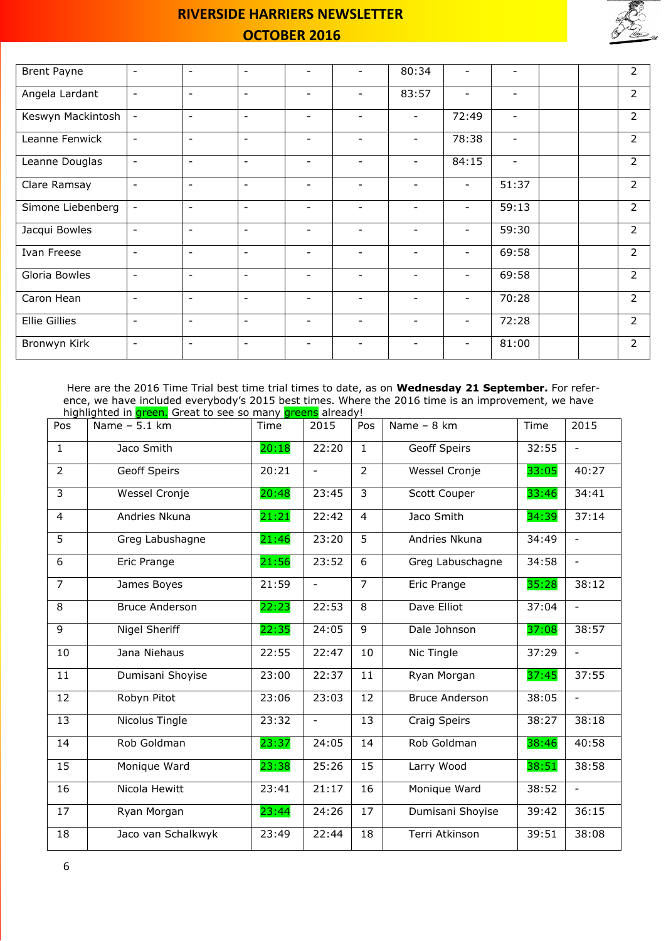

| <b>Brent Payne</b>   | $\overline{\phantom{a}}$ | $\overline{\phantom{a}}$ | $\overline{\phantom{a}}$ | $\overline{\phantom{a}}$ | $\overline{\phantom{0}}$ | 80:34                    | ۰                        | $\overline{\phantom{0}}$ |  | 2              |
|----------------------|--------------------------|--------------------------|--------------------------|--------------------------|--------------------------|--------------------------|--------------------------|--------------------------|--|----------------|
| Angela Lardant       | $\overline{\phantom{a}}$ | $\overline{\phantom{a}}$ | $\blacksquare$           | $\overline{\phantom{a}}$ | $\overline{\phantom{0}}$ | 83:57                    | $\overline{\phantom{a}}$ | $\overline{\phantom{a}}$ |  | $\overline{2}$ |
| Keswyn Mackintosh    | $\overline{\phantom{a}}$ | $\overline{\phantom{a}}$ | $\overline{\phantom{a}}$ | $\overline{\phantom{a}}$ | $\overline{\phantom{0}}$ |                          | 72:49                    | $\overline{\phantom{a}}$ |  | $\overline{2}$ |
| Leanne Fenwick       | $\overline{\phantom{a}}$ | $\overline{\phantom{a}}$ | $\overline{\phantom{a}}$ | $\overline{\phantom{a}}$ | $\overline{\phantom{a}}$ | $\overline{\phantom{a}}$ | 78:38                    | $\overline{\phantom{a}}$ |  | $\overline{2}$ |
| Leanne Douglas       | $\overline{\phantom{a}}$ | $\overline{\phantom{a}}$ | $\overline{\phantom{0}}$ | $\overline{\phantom{a}}$ |                          |                          | 84:15                    |                          |  | $\overline{2}$ |
| Clare Ramsay         | $\overline{\phantom{a}}$ | $\overline{\phantom{a}}$ | $\overline{\phantom{a}}$ | $\overline{\phantom{a}}$ | $\overline{\phantom{a}}$ | $\overline{\phantom{a}}$ | $\overline{\phantom{a}}$ | 51:37                    |  | $\overline{2}$ |
| Simone Liebenberg    | $\overline{\phantom{a}}$ | $\overline{\phantom{a}}$ | $\overline{\phantom{a}}$ | $\overline{\phantom{a}}$ | $\overline{\phantom{a}}$ | $\overline{\phantom{a}}$ | $\overline{\phantom{a}}$ | 59:13                    |  | $\overline{2}$ |
| Jacqui Bowles        | $\overline{\phantom{a}}$ | $\overline{\phantom{a}}$ | $\overline{\phantom{a}}$ | $\overline{\phantom{a}}$ | $\overline{\phantom{0}}$ | $\overline{\phantom{a}}$ |                          | 59:30                    |  | $\overline{2}$ |
| Ivan Freese          | $\blacksquare$           | $\overline{\phantom{a}}$ | $\overline{\phantom{a}}$ | $\overline{\phantom{a}}$ | $\overline{\phantom{a}}$ | $\overline{\phantom{a}}$ | $\qquad \qquad$          | 69:58                    |  | $\overline{2}$ |
| Gloria Bowles        | $\overline{\phantom{a}}$ | $\overline{\phantom{a}}$ | $\overline{\phantom{a}}$ | $\overline{\phantom{a}}$ | $\overline{\phantom{0}}$ | $\overline{\phantom{a}}$ | $\qquad \qquad$          | 69:58                    |  | $\overline{2}$ |
| Caron Hean           | $\overline{\phantom{a}}$ | $\overline{\phantom{a}}$ | $\overline{\phantom{a}}$ | $\qquad \qquad =$        | $\overline{\phantom{0}}$ | $\overline{\phantom{0}}$ | $\overline{\phantom{0}}$ | 70:28                    |  | $\overline{2}$ |
| <b>Ellie Gillies</b> | $\overline{\phantom{a}}$ | $\overline{\phantom{a}}$ | $\overline{\phantom{a}}$ | $\overline{\phantom{a}}$ | $\overline{\phantom{a}}$ | $\overline{\phantom{a}}$ | $\overline{\phantom{a}}$ | 72:28                    |  | $\overline{2}$ |
| Bronwyn Kirk         | $\overline{\phantom{a}}$ | $\overline{\phantom{a}}$ | $\overline{\phantom{a}}$ | $\overline{\phantom{a}}$ | $\overline{\phantom{0}}$ | $\overline{\phantom{a}}$ | $\overline{\phantom{a}}$ | 81:00                    |  | $\overline{2}$ |

Here are the 2016 Time Trial best time trial times to date, as on **Wednesday 21 September.** For reference, we have included everybody's 2015 best times. Where the 2016 time is an improvement, we have highlighted in **green.** Great to see so many greens already!

| Pos                     | inginighted in green, order to see so many greens an ead;<br>Name $-5.1$ km | Time  | 2015                     | Pos            | Name - 8 km           | Time  | 2015                     |
|-------------------------|-----------------------------------------------------------------------------|-------|--------------------------|----------------|-----------------------|-------|--------------------------|
| $\mathbf{1}$            | Jaco Smith                                                                  | 20:18 | 22:20                    | $\mathbf{1}$   | <b>Geoff Speirs</b>   | 32:55 | $\overline{\phantom{a}}$ |
| $\overline{2}$          | <b>Geoff Speirs</b>                                                         | 20:21 | $\overline{\phantom{a}}$ | 2              | Wessel Cronje         | 33:05 | 40:27                    |
| 3                       | Wessel Cronje                                                               | 20:48 | 23:45                    | 3              | Scott Couper          | 33:46 | 34:41                    |
| $\overline{4}$          | Andries Nkuna                                                               | 21:21 | 22:42                    | $\overline{4}$ | Jaco Smith            | 34:39 | 37:14                    |
| 5                       | Greg Labushagne                                                             | 21:46 | 23:20                    | 5              | Andries Nkuna         | 34:49 | $\overline{\phantom{a}}$ |
| 6                       | Eric Prange                                                                 | 21:56 | 23:52                    | 6              | Greg Labuschagne      | 34:58 | $\overline{\phantom{a}}$ |
| $\overline{7}$          | James Boyes                                                                 | 21:59 |                          | $\overline{7}$ | Eric Prange           | 35:28 | 38:12                    |
| $\overline{\mathbf{8}}$ | <b>Bruce Anderson</b>                                                       | 22:23 | 22:53                    | 8              | Dave Elliot           | 37:04 | $\blacksquare$           |
| 9                       | Nigel Sheriff                                                               | 22:35 | 24:05                    | 9              | Dale Johnson          | 37:08 | 38:57                    |
| 10                      | Jana Niehaus                                                                | 22:55 | 22:47                    | 10             | Nic Tingle            | 37:29 | $\overline{\phantom{0}}$ |
| 11                      | Dumisani Shoyise                                                            | 23:00 | 22:37                    | 11             | Ryan Morgan           | 37:45 | 37:55                    |
| 12                      | Robyn Pitot                                                                 | 23:06 | 23:03                    | 12             | <b>Bruce Anderson</b> | 38:05 | $\overline{\phantom{a}}$ |
| 13                      | Nicolus Tingle                                                              | 23:32 | $\overline{\phantom{a}}$ | 13             | <b>Craig Speirs</b>   | 38:27 | 38:18                    |
| 14                      | Rob Goldman                                                                 | 23:37 | 24:05                    | 14             | Rob Goldman           | 38:46 | 40:58                    |
| 15                      | Monique Ward                                                                | 23:38 | 25:26                    | 15             | Larry Wood            | 38:51 | 38:58                    |
| 16                      | Nicola Hewitt                                                               | 23:41 | 21:17                    | 16             | Monique Ward          | 38:52 | $\overline{\phantom{a}}$ |
| 17                      | Ryan Morgan                                                                 | 23:44 | 24:26                    | 17             | Dumisani Shoyise      | 39:42 | 36:15                    |
| 18                      | Jaco van Schalkwyk                                                          | 23:49 | 22:44                    | 18             | Terri Atkinson        | 39:51 | 38:08                    |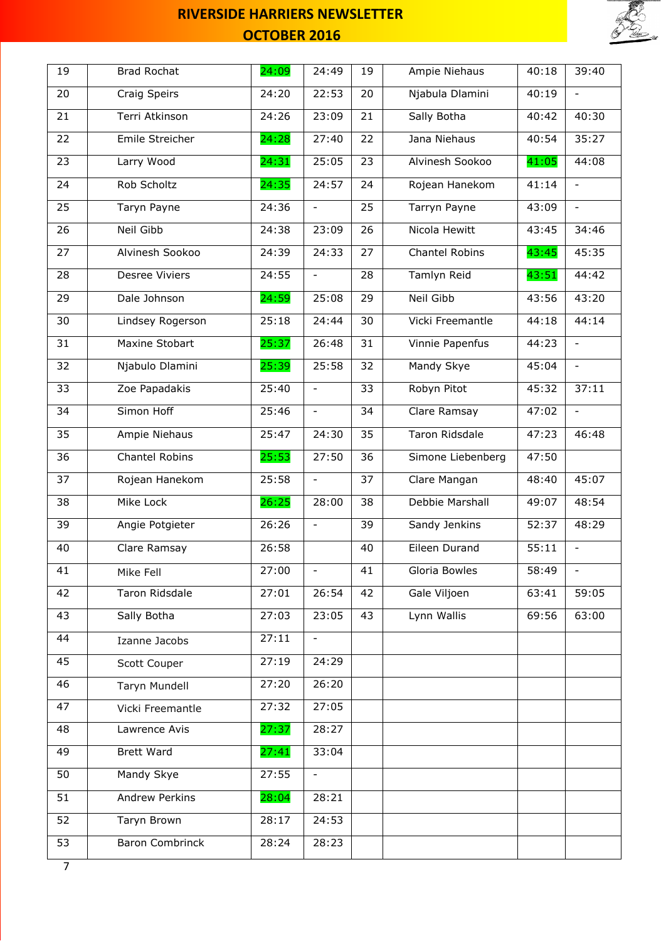

| 19             | <b>Brad Rochat</b>     | 24:09 | 24:49                    | 19 | Ampie Niehaus         | 40:18 | 39:40                    |
|----------------|------------------------|-------|--------------------------|----|-----------------------|-------|--------------------------|
| 20             | Craig Speirs           | 24:20 | 22:53                    | 20 | Njabula Dlamini       | 40:19 | $\equiv$                 |
| 21             | Terri Atkinson         | 24:26 | 23:09                    | 21 | Sally Botha           | 40:42 | 40:30                    |
| 22             | Emile Streicher        | 24:28 | 27:40                    | 22 | Jana Niehaus          | 40:54 | 35:27                    |
| 23             | Larry Wood             | 24:31 | 25:05                    | 23 | Alvinesh Sookoo       | 41:05 | 44:08                    |
| 24             | Rob Scholtz            | 24:35 | 24:57                    | 24 | Rojean Hanekom        | 41:14 | $\overline{\phantom{a}}$ |
| 25             | Taryn Payne            | 24:36 | $\overline{\phantom{a}}$ | 25 | Tarryn Payne          | 43:09 | $\overline{\phantom{0}}$ |
| 26             | <b>Neil Gibb</b>       | 24:38 | 23:09                    | 26 | Nicola Hewitt         | 43:45 | 34:46                    |
| 27             | Alvinesh Sookoo        | 24:39 | 24:33                    | 27 | Chantel Robins        | 43:45 | 45:35                    |
| 28             | Desree Viviers         | 24:55 | $\overline{\phantom{a}}$ | 28 | Tamlyn Reid           | 43:51 | 44:42                    |
| 29             | Dale Johnson           | 24:59 | 25:08                    | 29 | Neil Gibb             | 43:56 | 43:20                    |
| 30             | Lindsey Rogerson       | 25:18 | 24:44                    | 30 | Vicki Freemantle      | 44:18 | 44:14                    |
| 31             | Maxine Stobart         | 25:37 | 26:48                    | 31 | Vinnie Papenfus       | 44:23 |                          |
| 32             | Njabulo Dlamini        | 25:39 | 25:58                    | 32 | Mandy Skye            | 45:04 | $\overline{\phantom{a}}$ |
| 33             | Zoe Papadakis          | 25:40 | $\overline{\phantom{a}}$ | 33 | Robyn Pitot           | 45:32 | 37:11                    |
| 34             | Simon Hoff             | 25:46 | $\blacksquare$           | 34 | Clare Ramsay          | 47:02 | $\blacksquare$           |
| 35             | Ampie Niehaus          | 25:47 | 24:30                    | 35 | <b>Taron Ridsdale</b> | 47:23 | 46:48                    |
| 36             | <b>Chantel Robins</b>  | 25:53 | 27:50                    | 36 | Simone Liebenberg     | 47:50 |                          |
| 37             | Rojean Hanekom         | 25:58 | $\blacksquare$           | 37 | Clare Mangan          | 48:40 | 45:07                    |
| 38             | Mike Lock              | 26:25 | 28:00                    | 38 | Debbie Marshall       | 49:07 | 48:54                    |
| 39             | Angie Potgieter        | 26:26 | $\overline{\phantom{0}}$ | 39 | Sandy Jenkins         | 52:37 | 48:29                    |
| 40             | Clare Ramsay           | 26:58 |                          | 40 | Eileen Durand         | 55:11 | $\overline{\phantom{a}}$ |
| 41             | Mike Fell              | 27:00 | $\overline{\phantom{0}}$ | 41 | Gloria Bowles         | 58:49 |                          |
| 42             | Taron Ridsdale         | 27:01 | 26:54                    | 42 | Gale Viljoen          | 63:41 | 59:05                    |
| 43             | Sally Botha            | 27:03 | 23:05                    | 43 | Lynn Wallis           | 69:56 | 63:00                    |
| 44             | Izanne Jacobs          | 27:11 |                          |    |                       |       |                          |
| 45             | Scott Couper           | 27:19 | 24:29                    |    |                       |       |                          |
| 46             | Taryn Mundell          | 27:20 | 26:20                    |    |                       |       |                          |
| 47             | Vicki Freemantle       | 27:32 | 27:05                    |    |                       |       |                          |
| 48             | Lawrence Avis          | 27:37 | 28:27                    |    |                       |       |                          |
| 49             | <b>Brett Ward</b>      | 27:41 | 33:04                    |    |                       |       |                          |
| 50             | Mandy Skye             | 27:55 | $\overline{\phantom{a}}$ |    |                       |       |                          |
| 51             | <b>Andrew Perkins</b>  | 28:04 | 28:21                    |    |                       |       |                          |
| 52             | Taryn Brown            | 28:17 | 24:53                    |    |                       |       |                          |
| 53             | <b>Baron Combrinck</b> | 28:24 | 28:23                    |    |                       |       |                          |
| $\overline{7}$ |                        |       |                          |    |                       |       |                          |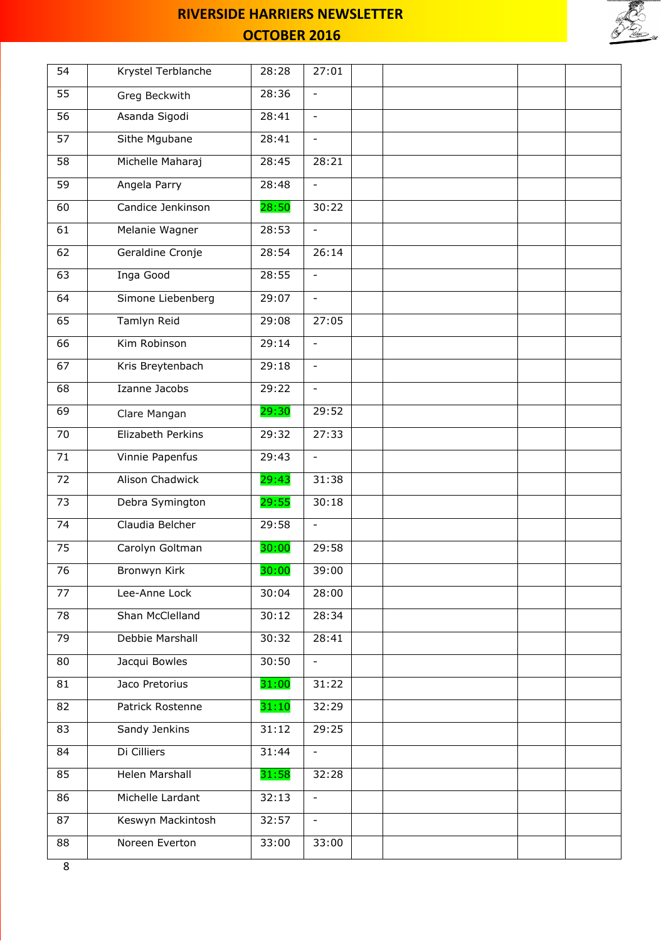



| 54              | Krystel Terblanche     | 28:28 | 27:01                    |  |  |  |
|-----------------|------------------------|-------|--------------------------|--|--|--|
| 55              | Greg Beckwith          | 28:36 |                          |  |  |  |
| 56              | Asanda Sigodi          | 28:41 | $\overline{\phantom{a}}$ |  |  |  |
| $\overline{57}$ | Sithe Mgubane          | 28:41 | $\equiv$                 |  |  |  |
| 58              | Michelle Maharaj       | 28:45 | 28:21                    |  |  |  |
| 59              | Angela Parry           | 28:48 | $\blacksquare$           |  |  |  |
| 60              | Candice Jenkinson      | 28:50 | 30:22                    |  |  |  |
| 61              | Melanie Wagner         | 28:53 | $\blacksquare$           |  |  |  |
| 62              | Geraldine Cronje       | 28:54 | 26:14                    |  |  |  |
| 63              | Inga Good              | 28:55 |                          |  |  |  |
| 64              | Simone Liebenberg      | 29:07 | $\blacksquare$           |  |  |  |
| 65              | Tamlyn Reid            | 29:08 | 27:05                    |  |  |  |
| 66              | Kim Robinson           | 29:14 | $\overline{\phantom{a}}$ |  |  |  |
| 67              | Kris Breytenbach       | 29:18 | $\blacksquare$           |  |  |  |
| 68              | Izanne Jacobs          | 29:22 | $\overline{\phantom{a}}$ |  |  |  |
| 69              | Clare Mangan           | 29:30 | 29:52                    |  |  |  |
| 70              | Elizabeth Perkins      | 29:32 | 27:33                    |  |  |  |
| $\overline{71}$ | Vinnie Papenfus        | 29:43 | $\blacksquare$           |  |  |  |
| 72              | <b>Alison Chadwick</b> | 29:43 | 31:38                    |  |  |  |
| 73              | Debra Symington        | 29:55 | 30:18                    |  |  |  |
| 74              | Claudia Belcher        | 29:58 | $\mathbf{r}$             |  |  |  |
| 75              | Carolyn Goltman        | 30:00 | 29:58                    |  |  |  |
| 76              | Bronwyn Kirk           | 30:00 | 39:00                    |  |  |  |
| 77              | Lee-Anne Lock          | 30:04 | 28:00                    |  |  |  |
| 78              | Shan McClelland        | 30:12 | 28:34                    |  |  |  |
| 79              | Debbie Marshall        | 30:32 | 28:41                    |  |  |  |
| 80              | Jacqui Bowles          | 30:50 | $\overline{\phantom{a}}$ |  |  |  |
| 81              | Jaco Pretorius         | 31:00 | 31:22                    |  |  |  |
| 82              | Patrick Rostenne       | 31:10 | 32:29                    |  |  |  |
| 83              | Sandy Jenkins          | 31:12 | 29:25                    |  |  |  |
| 84              | Di Cilliers            | 31:44 | $\blacksquare$           |  |  |  |
| 85              | Helen Marshall         | 31:58 | 32:28                    |  |  |  |
| 86              | Michelle Lardant       | 32:13 | $\equiv$                 |  |  |  |
| 87              | Keswyn Mackintosh      | 32:57 | $\blacksquare$           |  |  |  |
| 88              | Noreen Everton         | 33:00 | 33:00                    |  |  |  |
| $\sim$          |                        |       |                          |  |  |  |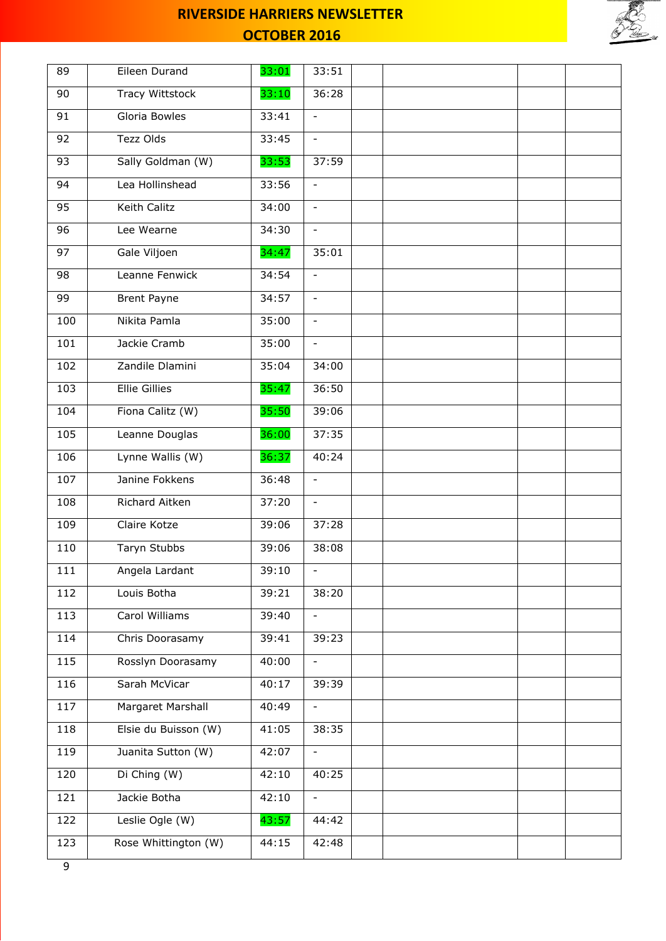

| 89  | Eileen Durand        | 33:01 | 33:51                    |  |  |
|-----|----------------------|-------|--------------------------|--|--|
| 90  | Tracy Wittstock      | 33:10 | 36:28                    |  |  |
| 91  | Gloria Bowles        | 33:41 | $\equiv$                 |  |  |
| 92  | Tezz Olds            | 33:45 | $\equiv$                 |  |  |
| 93  | Sally Goldman (W)    | 33:53 | 37:59                    |  |  |
| 94  | Lea Hollinshead      | 33:56 | $\equiv$                 |  |  |
| 95  | Keith Calitz         | 34:00 | $\overline{\phantom{a}}$ |  |  |
| 96  | Lee Wearne           | 34:30 | $\equiv$                 |  |  |
| 97  | Gale Viljoen         | 34:47 | 35:01                    |  |  |
| 98  | Leanne Fenwick       | 34:54 | $\overline{\phantom{a}}$ |  |  |
| 99  | <b>Brent Payne</b>   | 34:57 | $\equiv$                 |  |  |
| 100 | Nikita Pamla         | 35:00 | $\blacksquare$           |  |  |
| 101 | Jackie Cramb         | 35:00 | $\blacksquare$           |  |  |
| 102 | Zandile Dlamini      | 35:04 | 34:00                    |  |  |
| 103 | <b>Ellie Gillies</b> | 35:47 | 36:50                    |  |  |
| 104 | Fiona Calitz (W)     | 35:50 | 39:06                    |  |  |
| 105 | Leanne Douglas       | 36:00 | 37:35                    |  |  |
| 106 | Lynne Wallis (W)     | 36:37 | 40:24                    |  |  |
| 107 | Janine Fokkens       | 36:48 | $\equiv$                 |  |  |
| 108 | Richard Aitken       | 37:20 | $\overline{\phantom{a}}$ |  |  |
| 109 | Claire Kotze         | 39:06 | 37:28                    |  |  |
| 110 | Taryn Stubbs         | 39:06 | 38:08                    |  |  |
| 111 | Angela Lardant       | 39:10 | $\overline{\phantom{a}}$ |  |  |
| 112 | Louis Botha          | 39:21 | 38:20                    |  |  |
| 113 | Carol Williams       | 39:40 | $\overline{a}$           |  |  |
| 114 | Chris Doorasamy      | 39:41 | 39:23                    |  |  |
| 115 | Rosslyn Doorasamy    | 40:00 | $\Box$                   |  |  |
| 116 | Sarah McVicar        | 40:17 | 39:39                    |  |  |
| 117 | Margaret Marshall    | 40:49 | $\overline{\phantom{a}}$ |  |  |
| 118 | Elsie du Buisson (W) | 41:05 | 38:35                    |  |  |
| 119 | Juanita Sutton (W)   | 42:07 | $\overline{\phantom{a}}$ |  |  |
| 120 | Di Ching (W)         | 42:10 | 40:25                    |  |  |
| 121 | Jackie Botha         | 42:10 | $\blacksquare$           |  |  |
| 122 | Leslie Ogle (W)      | 43:57 | 44:42                    |  |  |
| 123 | Rose Whittington (W) | 44:15 | 42:48                    |  |  |
| C   |                      |       |                          |  |  |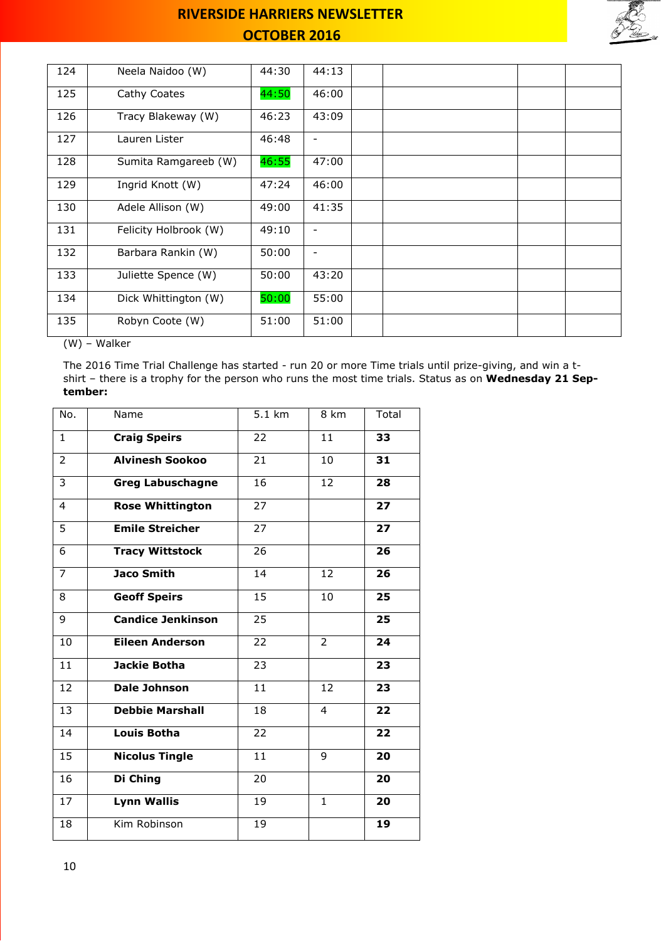

| 124 | Neela Naidoo (W)      | 44:30 | 44:13                    |  |  |  |
|-----|-----------------------|-------|--------------------------|--|--|--|
| 125 | Cathy Coates          | 44:50 | 46:00                    |  |  |  |
| 126 | Tracy Blakeway (W)    | 46:23 | 43:09                    |  |  |  |
| 127 | Lauren Lister         | 46:48 |                          |  |  |  |
| 128 | Sumita Ramgareeb (W)  | 46:55 | 47:00                    |  |  |  |
| 129 | Ingrid Knott (W)      | 47:24 | 46:00                    |  |  |  |
| 130 | Adele Allison (W)     | 49:00 | 41:35                    |  |  |  |
| 131 | Felicity Holbrook (W) | 49:10 |                          |  |  |  |
| 132 | Barbara Rankin (W)    | 50:00 | $\overline{\phantom{a}}$ |  |  |  |
| 133 | Juliette Spence (W)   | 50:00 | 43:20                    |  |  |  |
| 134 | Dick Whittington (W)  | 50:00 | 55:00                    |  |  |  |
| 135 | Robyn Coote (W)       | 51:00 | 51:00                    |  |  |  |

(W) – Walker

The 2016 Time Trial Challenge has started - run 20 or more Time trials until prize-giving, and win a tshirt – there is a trophy for the person who runs the most time trials. Status as on **Wednesday 21 September:**

| No.             | Name                     | 5.1 km          | 8 km           | Total |
|-----------------|--------------------------|-----------------|----------------|-------|
| $\mathbf{1}$    | <b>Craig Speirs</b>      | 22              | 11             | 33    |
| $\overline{2}$  | <b>Alvinesh Sookoo</b>   | 21              | 10             | 31    |
| 3               | <b>Greg Labuschagne</b>  | 16              | 12             | 28    |
| 4               | <b>Rose Whittington</b>  | 27              |                | 27    |
| 5               | <b>Emile Streicher</b>   | 27              |                | 27    |
| 6               | <b>Tracy Wittstock</b>   | 26              |                | 26    |
| 7               | <b>Jaco Smith</b>        | 14              | 12             | 26    |
| 8               | <b>Geoff Speirs</b>      | 15              | 10             | 25    |
| 9               | <b>Candice Jenkinson</b> | 25              |                | 25    |
| 10              | <b>Eileen Anderson</b>   | 22              | $\overline{2}$ | 24    |
| 11              | <b>Jackie Botha</b>      | 23              |                | 23    |
| 12              | <b>Dale Johnson</b>      | 11              | 12             | 23    |
| 13              | <b>Debbie Marshall</b>   | 18              | 4              | 22    |
| 14              | <b>Louis Botha</b>       | 22              |                | 22    |
| $\overline{15}$ | <b>Nicolus Tingle</b>    | $\overline{11}$ | 9              | 20    |
| 16              | Di Ching                 | 20              |                | 20    |
| 17              | <b>Lynn Wallis</b>       | 19              | $\mathbf{1}$   | 20    |
| 18              | Kim Robinson             | 19              |                | 19    |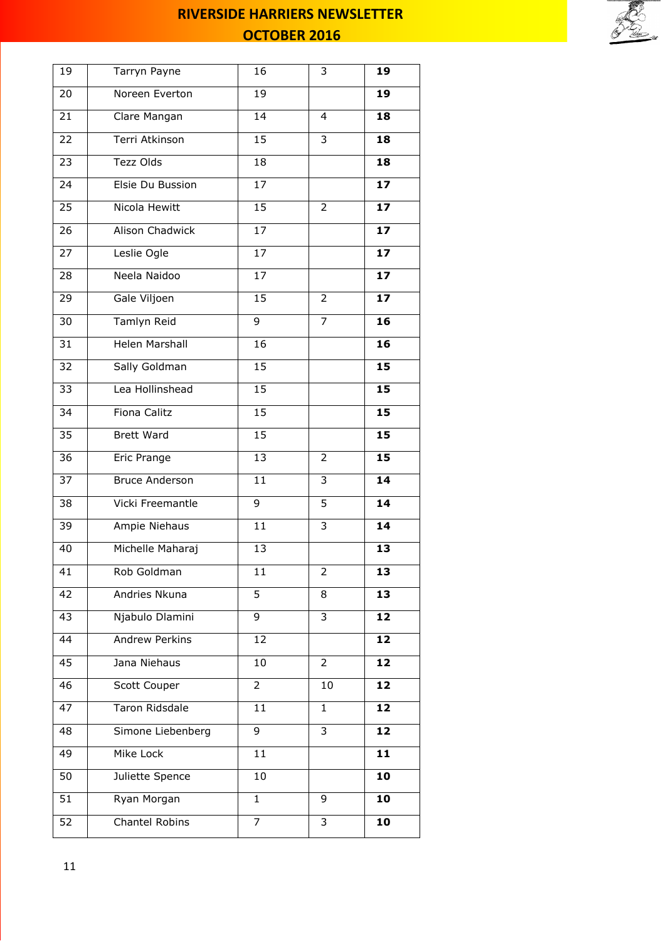

| 19 | Tarryn Payne          | 16              | 3              | 19 |
|----|-----------------------|-----------------|----------------|----|
| 20 | Noreen Everton        | 19              |                | 19 |
| 21 | Clare Mangan          | 14              | 4              | 18 |
| 22 | Terri Atkinson        | 15              | 3              | 18 |
| 23 | Tezz Olds             | 18              |                | 18 |
| 24 | Elsie Du Bussion      | 17              |                | 17 |
| 25 | Nicola Hewitt         | 15              | 2              | 17 |
| 26 | Alison Chadwick       | 17              |                | 17 |
| 27 | Leslie Ogle           | 17              |                | 17 |
| 28 | Neela Naidoo          | $\overline{17}$ |                | 17 |
| 29 | Gale Viljoen          | 15              | $\overline{2}$ | 17 |
| 30 | <b>Tamlyn Reid</b>    | $\overline{9}$  | $\overline{7}$ | 16 |
| 31 | <b>Helen Marshall</b> | 16              |                | 16 |
| 32 | Sally Goldman         | 15              |                | 15 |
| 33 | Lea Hollinshead       | 15              |                | 15 |
| 34 | Fiona Calitz          | 15              |                | 15 |
| 35 | <b>Brett Ward</b>     | 15              |                | 15 |
| 36 | Eric Prange           | 13              | $\overline{2}$ | 15 |
| 37 | <b>Bruce Anderson</b> | 11              | 3              | 14 |
| 38 | Vicki Freemantle      | 9               | 5              | 14 |
| 39 | Ampie Niehaus         | 11              | 3              | 14 |
| 40 | Michelle Maharaj      | 13              |                | 13 |
| 41 | Rob Goldman           | 11              | 2              | 13 |
| 42 | Andries Nkuna         | $\overline{5}$  | 8              | 13 |
| 43 | Njabulo Dlamini       | 9               | 3              | 12 |
| 44 | <b>Andrew Perkins</b> | 12              |                | 12 |
| 45 | Jana Niehaus          | 10              | $\overline{2}$ | 12 |
| 46 | Scott Couper          | 2               | 10             | 12 |
| 47 | <b>Taron Ridsdale</b> | 11              | 1              | 12 |
| 48 | Simone Liebenberg     | 9               | 3              | 12 |
| 49 | Mike Lock             | 11              |                | 11 |
| 50 | Juliette Spence       | 10              |                | 10 |
| 51 | Ryan Morgan           | $\mathbf{1}$    | 9              | 10 |
| 52 | Chantel Robins        | 7               | 3              | 10 |
|    |                       |                 |                |    |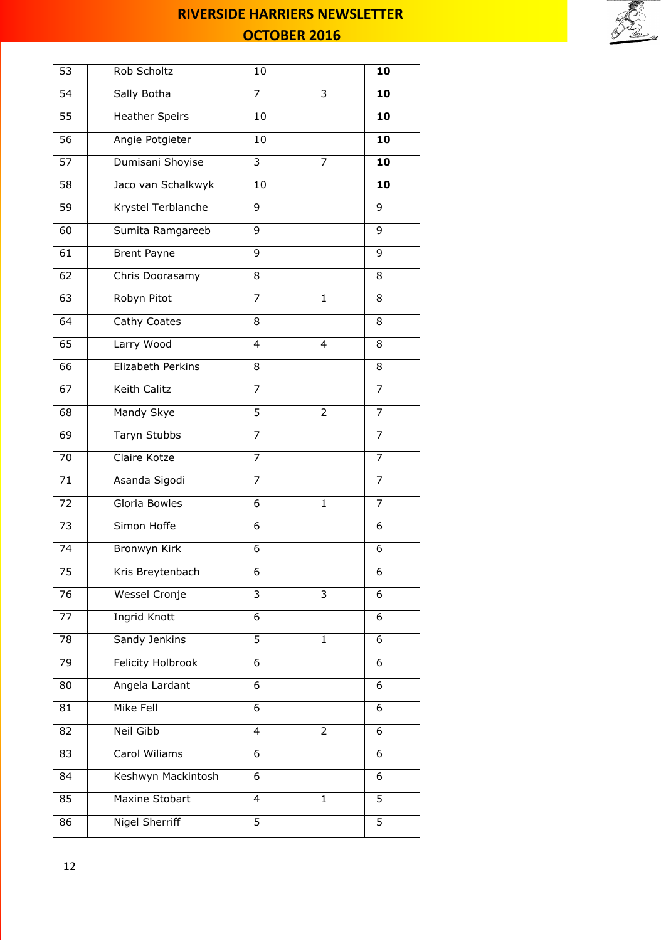

| 53 | Rob Scholtz              | 10             |                | 10             |
|----|--------------------------|----------------|----------------|----------------|
| 54 | Sally Botha              | $\overline{7}$ | 3              | 10             |
| 55 | <b>Heather Speirs</b>    | 10             |                | 10             |
| 56 | Angie Potgieter          | 10             |                | 10             |
| 57 | Dumisani Shoyise         | $\overline{3}$ | $\overline{7}$ | 10             |
| 58 | Jaco van Schalkwyk       | 10             |                | 10             |
| 59 | Krystel Terblanche       | 9              |                | 9              |
| 60 | Sumita Ramgareeb         | 9              |                | 9              |
| 61 | <b>Brent Payne</b>       | 9              |                | 9              |
| 62 | Chris Doorasamy          | 8              |                | 8              |
| 63 | Robyn Pitot              | 7              | $\mathbf{1}$   | 8              |
| 64 | Cathy Coates             | 8              |                | 8              |
| 65 | Larry Wood               | 4              | 4              | 8              |
| 66 | Elizabeth Perkins        | 8              |                | 8              |
| 67 | Keith Calitz             | 7              |                | 7              |
| 68 | Mandy Skye               | 5              | 2              | 7              |
| 69 | Taryn Stubbs             | $\overline{7}$ |                | $\overline{7}$ |
| 70 | Claire Kotze             | $\overline{7}$ |                | $\overline{7}$ |
| 71 | Asanda Sigodi            | $\overline{7}$ |                | $\overline{7}$ |
| 72 | Gloria Bowles            | 6              | $\mathbf{1}$   | 7              |
| 73 | Simon Hoffe              | 6              |                | 6              |
| 74 | Bronwyn Kirk             | 6              |                | 6              |
| 75 | Kris Breytenbach         | 6              |                | 6              |
| 76 | Wessel Cronje            | 3              | 3              | 6              |
| 77 | Ingrid Knott             | 6              |                | 6              |
| 78 | Sandy Jenkins            | 5              | $\mathbf{1}$   | 6              |
| 79 | <b>Felicity Holbrook</b> | 6              |                | 6              |
| 80 | Angela Lardant           | 6              |                | 6              |
| 81 | Mike Fell                | 6              |                | 6              |
| 82 | <b>Neil Gibb</b>         | $\overline{4}$ | $\overline{2}$ | 6              |
| 83 | Carol Wiliams            | 6              |                | 6              |
| 84 | Keshwyn Mackintosh       | 6              |                | 6              |
| 85 | Maxine Stobart           | 4              | $\mathbf{1}$   | 5              |
| 86 | Nigel Sherriff           | 5              |                | 5              |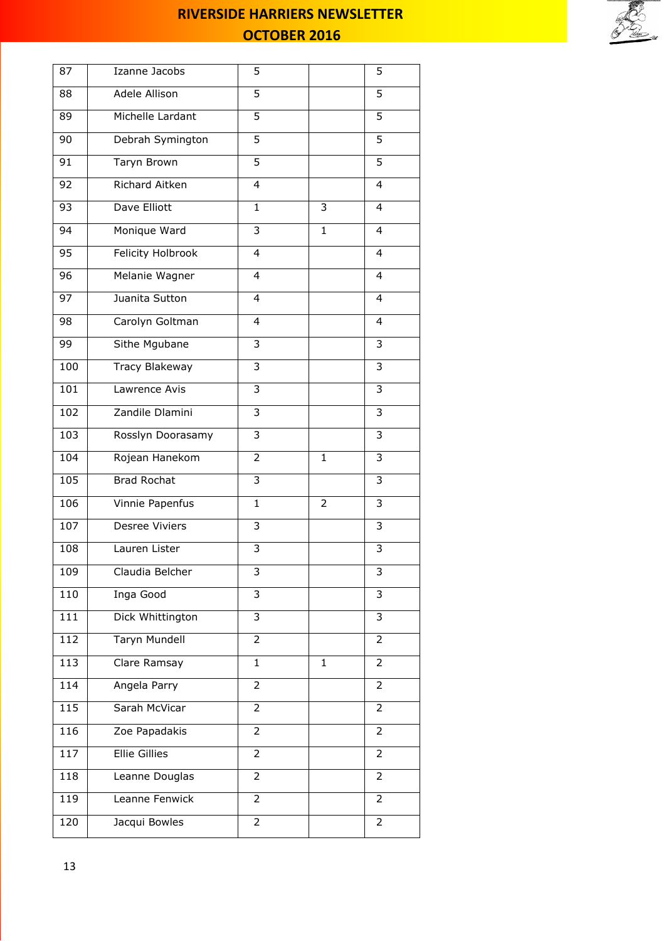

| 87  | Izanne Jacobs         | 5              |                | 5              |
|-----|-----------------------|----------------|----------------|----------------|
| 88  | Adele Allison         | 5              |                | 5              |
| 89  | Michelle Lardant      | 5              |                | 5              |
| 90  | Debrah Symington      | 5              |                | 5              |
| 91  | Taryn Brown           | 5              |                | 5              |
| 92  | Richard Aitken        | 4              |                | 4              |
| 93  | Dave Elliott          | $\mathbf{1}$   | 3              | 4              |
| 94  | Monique Ward          | 3              | $\mathbf{1}$   | 4              |
| 95  | Felicity Holbrook     | 4              |                | 4              |
| 96  | Melanie Wagner        | 4              |                | 4              |
| 97  | Juanita Sutton        | 4              |                | 4              |
| 98  | Carolyn Goltman       | 4              |                | 4              |
| 99  | Sithe Mgubane         | 3              |                | 3              |
| 100 | Tracy Blakeway        | $\overline{3}$ |                | 3              |
| 101 | Lawrence Avis         | 3              |                | 3              |
| 102 | Zandile Dlamini       | 3              |                | 3              |
| 103 | Rosslyn Doorasamy     | 3              |                | 3              |
| 104 | Rojean Hanekom        | 2              | $\mathbf{1}$   | 3              |
| 105 | <b>Brad Rochat</b>    | 3              |                | 3              |
| 106 | Vinnie Papenfus       | $\mathbf{1}$   | $\overline{2}$ | 3              |
| 107 | <b>Desree Viviers</b> | 3              |                | 3              |
| 108 | Lauren Lister         | $\overline{3}$ |                | 3              |
| 109 | Claudia Belcher       | 3              |                | 3              |
| 110 | Inga Good             | 3              |                | 3              |
| 111 | Dick Whittington      | 3              |                | 3              |
| 112 | Taryn Mundell         | 2              |                | 2              |
| 113 | Clare Ramsay          | $\mathbf{1}$   | $\mathbf{1}$   | $\overline{2}$ |
| 114 | Angela Parry          | $\overline{2}$ |                | $\overline{2}$ |
| 115 | Sarah McVicar         | $\overline{2}$ |                | $\overline{2}$ |
| 116 | Zoe Papadakis         | 2              |                | $\overline{2}$ |
| 117 | <b>Ellie Gillies</b>  | 2              |                | 2              |
| 118 | Leanne Douglas        | 2              |                | $\overline{2}$ |
| 119 | Leanne Fenwick        | 2              |                | 2              |
| 120 | Jacqui Bowles         | $\overline{2}$ |                | $\overline{2}$ |
|     |                       |                |                |                |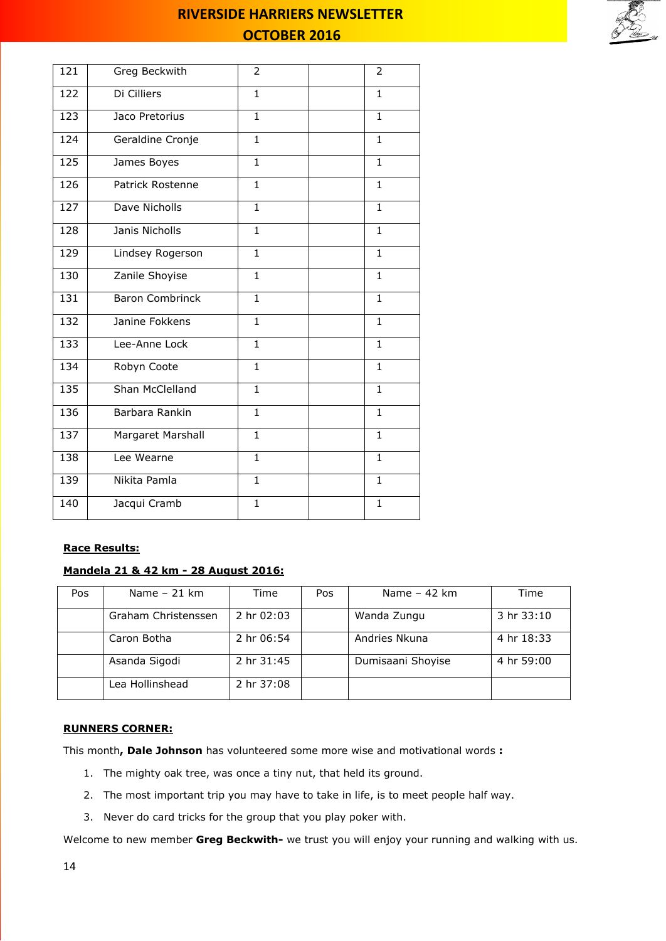

| 121 | Greg Beckwith          | $\overline{2}$ | 2            |
|-----|------------------------|----------------|--------------|
| 122 | Di Cilliers            | $\mathbf{1}$   | $\mathbf{1}$ |
| 123 | Jaco Pretorius         | $\overline{1}$ | $\mathbf{1}$ |
| 124 | Geraldine Cronje       | $\mathbf{1}$   | $\mathbf{1}$ |
| 125 | James Boyes            | $\mathbf{1}$   | $\mathbf{1}$ |
| 126 | Patrick Rostenne       | $\mathbf{1}$   | $\mathbf{1}$ |
| 127 | Dave Nicholls          | $\mathbf{1}$   | $\mathbf{1}$ |
| 128 | Janis Nicholls         | $\mathbf{1}$   | $\mathbf{1}$ |
| 129 | Lindsey Rogerson       | $\mathbf{1}$   | $\mathbf{1}$ |
| 130 | Zanile Shoyise         | $\mathbf{1}$   | $\mathbf{1}$ |
| 131 | <b>Baron Combrinck</b> | $\mathbf{1}$   | 1            |
| 132 | Janine Fokkens         | $\mathbf{1}$   | $\mathbf{1}$ |
| 133 | Lee-Anne Lock          | $\mathbf{1}$   | $\mathbf{1}$ |
| 134 | Robyn Coote            | $\mathbf{1}$   | $\mathbf{1}$ |
| 135 | Shan McClelland        | $\mathbf{1}$   | $\mathbf{1}$ |
| 136 | Barbara Rankin         | $\mathbf{1}$   | $\mathbf{1}$ |
| 137 | Margaret Marshall      | $\mathbf{1}$   | $\mathbf{1}$ |
| 138 | Lee Wearne             | $\mathbf{1}$   | $\mathbf{1}$ |
| 139 | Nikita Pamla           | $\overline{1}$ | $\mathbf{1}$ |
| 140 | Jacqui Cramb           | $\mathbf{1}$   | $\mathbf{1}$ |

### **Race Results:**

### **Mandela 21 & 42 km - 28 August 2016:**

| Pos | Name $-21$ km       | Time       | Pos | Name $-42$ km     | Time       |
|-----|---------------------|------------|-----|-------------------|------------|
|     | Graham Christenssen | 2 hr 02:03 |     | Wanda Zungu       | 3hr33:10   |
|     | Caron Botha         | 2 hr 06:54 |     | Andries Nkuna     | 4 hr 18:33 |
|     | Asanda Sigodi       | 2 hr 31:45 |     | Dumisaani Shoyise | 4 hr 59:00 |
|     | Lea Hollinshead     | 2 hr 37:08 |     |                   |            |

### **RUNNERS CORNER:**

This month**, Dale Johnson** has volunteered some more wise and motivational words **:**

- 1. The mighty oak tree, was once a tiny nut, that held its ground.
- 2. The most important trip you may have to take in life, is to meet people half way.
- 3. Never do card tricks for the group that you play poker with.

Welcome to new member **Greg Beckwith-** we trust you will enjoy your running and walking with us.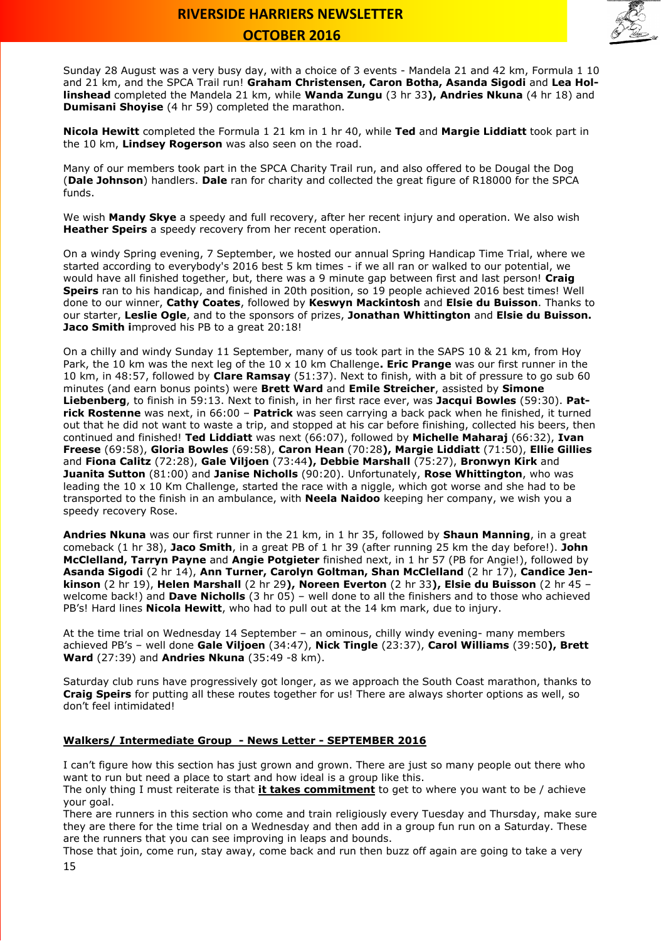

Sunday 28 August was a very busy day, with a choice of 3 events - Mandela 21 and 42 km, Formula 1 10 and 21 km, and the SPCA Trail run! **Graham Christensen, Caron Botha, Asanda Sigodi** and **Lea Hollinshead** completed the Mandela 21 km, while **Wanda Zungu** (3 hr 33**), Andries Nkuna** (4 hr 18) and **Dumisani Shoyise** (4 hr 59) completed the marathon.

**Nicola Hewitt** completed the Formula 1 21 km in 1 hr 40, while **Ted** and **Margie Liddiatt** took part in the 10 km, **Lindsey Rogerson** was also seen on the road.

Many of our members took part in the SPCA Charity Trail run, and also offered to be Dougal the Dog (**Dale Johnson**) handlers. **Dale** ran for charity and collected the great figure of R18000 for the SPCA funds.

We wish **Mandy Skye** a speedy and full recovery, after her recent injury and operation. We also wish **Heather Speirs** a speedy recovery from her recent operation.

On a windy Spring evening, 7 September, we hosted our annual Spring Handicap Time Trial, where we started according to everybody's 2016 best 5 km times - if we all ran or walked to our potential, we would have all finished together, but, there was a 9 minute gap between first and last person! **Craig Speirs** ran to his handicap, and finished in 20th position, so 19 people achieved 2016 best times! Well done to our winner, **Cathy Coates**, followed by **Keswyn Mackintosh** and **Elsie du Buisson**. Thanks to our starter, **Leslie Ogle**, and to the sponsors of prizes, **Jonathan Whittington** and **Elsie du Buisson. Jaco Smith i**mproved his PB to a great 20:18!

On a chilly and windy Sunday 11 September, many of us took part in the SAPS 10 & 21 km, from Hoy Park, the 10 km was the next leg of the 10 x 10 km Challenge**. Eric Prange** was our first runner in the 10 km, in 48:57, followed by **Clare Ramsay** (51:37). Next to finish, with a bit of pressure to go sub 60 minutes (and earn bonus points) were **Brett Ward** and **Emile Streicher**, assisted by **Simone Liebenberg**, to finish in 59:13. Next to finish, in her first race ever, was **Jacqui Bowles** (59:30). **Patrick Rostenne** was next, in 66:00 – **Patrick** was seen carrying a back pack when he finished, it turned out that he did not want to waste a trip, and stopped at his car before finishing, collected his beers, then continued and finished! **Ted Liddiatt** was next (66:07), followed by **Michelle Maharaj** (66:32), **Ivan Freese** (69:58), **Gloria Bowles** (69:58), **Caron Hean** (70:28**), Margie Liddiatt** (71:50), **Ellie Gillies** and **Fiona Calitz** (72:28), **Gale Viljoen** (73:44**), Debbie Marshall** (75:27), **Bronwyn Kirk** and **Juanita Sutton** (81:00) and **Janise Nicholls** (90:20). Unfortunately, **Rose Whittington**, who was leading the 10 x 10 Km Challenge, started the race with a niggle, which got worse and she had to be transported to the finish in an ambulance, with **Neela Naidoo** keeping her company, we wish you a speedy recovery Rose.

**Andries Nkuna** was our first runner in the 21 km, in 1 hr 35, followed by **Shaun Manning**, in a great comeback (1 hr 38), **Jaco Smith**, in a great PB of 1 hr 39 (after running 25 km the day before!). **John McClelland, Tarryn Payne** and **Angie Potgieter** finished next, in 1 hr 57 (PB for Angie!), followed by **Asanda Sigodi** (2 hr 14), **Ann Turner, Carolyn Goltman, Shan McClelland** (2 hr 17), **Candice Jenkinson** (2 hr 19), **Helen Marshall** (2 hr 29**), Noreen Everton** (2 hr 33**), Elsie du Buisson** (2 hr 45 – welcome back!) and **Dave Nicholls** (3 hr 05) – well done to all the finishers and to those who achieved PB's! Hard lines **Nicola Hewitt**, who had to pull out at the 14 km mark, due to injury.

At the time trial on Wednesday 14 September – an ominous, chilly windy evening- many members achieved PB's – well done **Gale Viljoen** (34:47), **Nick Tingle** (23:37), **Carol Williams** (39:50**), Brett Ward** (27:39) and **Andries Nkuna** (35:49 -8 km).

Saturday club runs have progressively got longer, as we approach the South Coast marathon, thanks to **Craig Speirs** for putting all these routes together for us! There are always shorter options as well, so don't feel intimidated!

#### **Walkers/ Intermediate Group - News Letter - SEPTEMBER 2016**

I can't figure how this section has just grown and grown. There are just so many people out there who want to run but need a place to start and how ideal is a group like this.

The only thing I must reiterate is that **it takes commitment** to get to where you want to be / achieve your goal.

There are runners in this section who come and train religiously every Tuesday and Thursday, make sure they are there for the time trial on a Wednesday and then add in a group fun run on a Saturday. These are the runners that you can see improving in leaps and bounds.

15 Those that join, come run, stay away, come back and run then buzz off again are going to take a very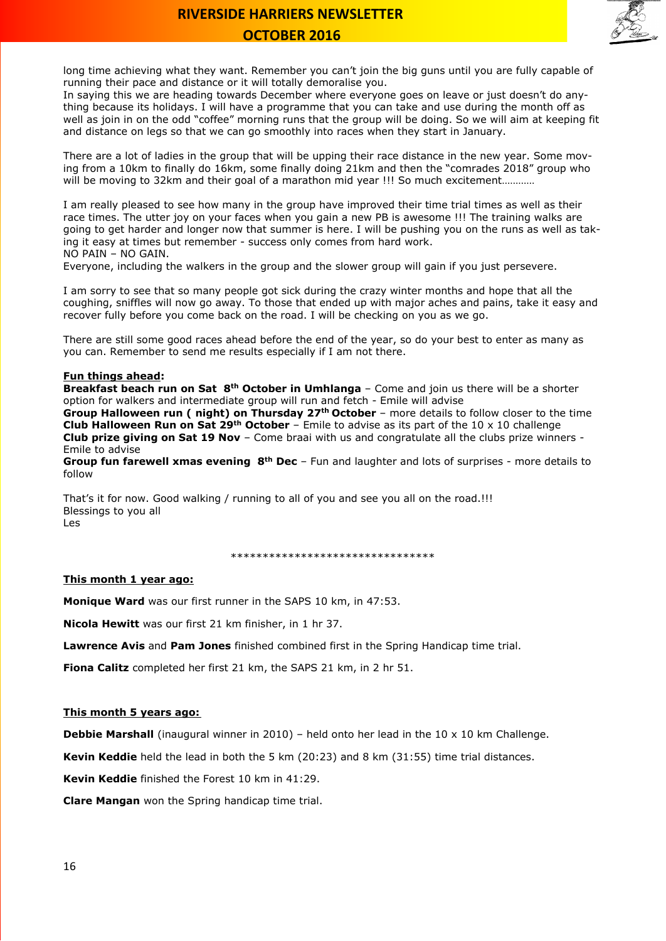

long time achieving what they want. Remember you can't join the big guns until you are fully capable of running their pace and distance or it will totally demoralise you.

In saying this we are heading towards December where everyone goes on leave or just doesn't do anything because its holidays. I will have a programme that you can take and use during the month off as well as join in on the odd "coffee" morning runs that the group will be doing. So we will aim at keeping fit and distance on legs so that we can go smoothly into races when they start in January.

There are a lot of ladies in the group that will be upping their race distance in the new year. Some moving from a 10km to finally do 16km, some finally doing 21km and then the "comrades 2018" group who will be moving to 32km and their goal of a marathon mid year !!! So much excitement...........

I am really pleased to see how many in the group have improved their time trial times as well as their race times. The utter joy on your faces when you gain a new PB is awesome !!! The training walks are going to get harder and longer now that summer is here. I will be pushing you on the runs as well as taking it easy at times but remember - success only comes from hard work. NO PAIN – NO GAIN.

Everyone, including the walkers in the group and the slower group will gain if you just persevere.

I am sorry to see that so many people got sick during the crazy winter months and hope that all the coughing, sniffles will now go away. To those that ended up with major aches and pains, take it easy and recover fully before you come back on the road. I will be checking on you as we go.

There are still some good races ahead before the end of the year, so do your best to enter as many as you can. Remember to send me results especially if I am not there.

### **Fun things ahead:**

**Breakfast beach run on Sat 8th October in Umhlanga** – Come and join us there will be a shorter option for walkers and intermediate group will run and fetch - Emile will advise

**Group Halloween run ( night) on Thursday 27th October** – more details to follow closer to the time **Club Halloween Run on Sat 29th October** – Emile to advise as its part of the 10 x 10 challenge **Club prize giving on Sat 19 Nov** – Come braai with us and congratulate all the clubs prize winners - Emile to advise

**Group fun farewell xmas evening 8th Dec** – Fun and laughter and lots of surprises - more details to follow

That's it for now. Good walking / running to all of you and see you all on the road.!!! Blessings to you all Les

\*\*\*\*\*\*\*\*\*\*\*\*\*\*\*\*\*\*\*\*\*\*\*\*\*\*\*\*\*\*\*\*

#### **This month 1 year ago:**

**Monique Ward** was our first runner in the SAPS 10 km, in 47:53.

**Nicola Hewitt** was our first 21 km finisher, in 1 hr 37.

**Lawrence Avis** and **Pam Jones** finished combined first in the Spring Handicap time trial.

**Fiona Calitz** completed her first 21 km, the SAPS 21 km, in 2 hr 51.

#### **This month 5 years ago:**

**Debbie Marshall** (inaugural winner in 2010) – held onto her lead in the 10 x 10 km Challenge.

**Kevin Keddie** held the lead in both the 5 km (20:23) and 8 km (31:55) time trial distances.

**Kevin Keddie** finished the Forest 10 km in 41:29.

**Clare Mangan** won the Spring handicap time trial.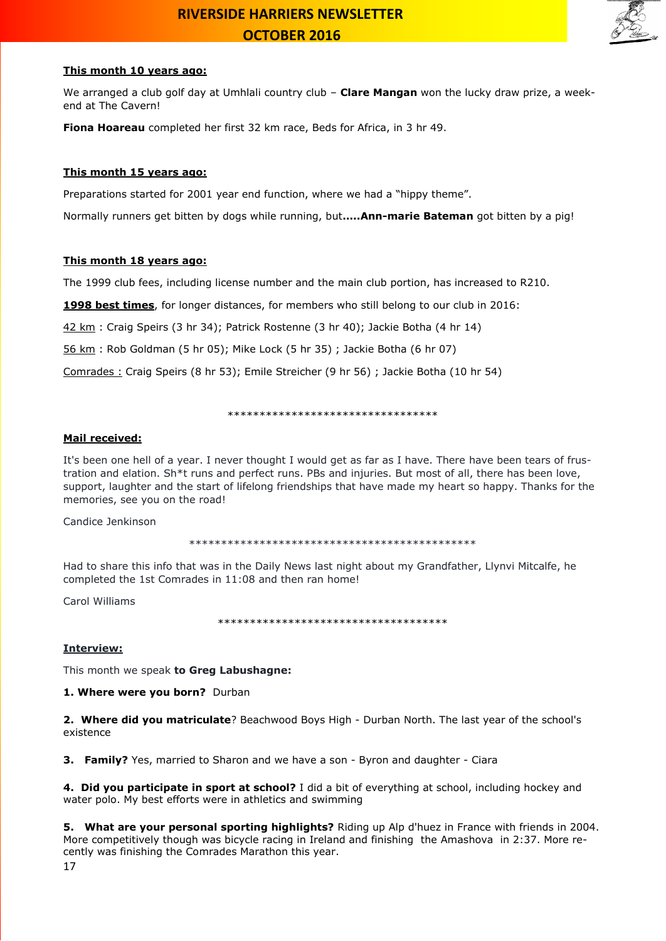

#### **This month 10 years ago:**

We arranged a club golf day at Umhlali country club – **Clare Mangan** won the lucky draw prize, a weekend at The Cavern!

**Fiona Hoareau** completed her first 32 km race, Beds for Africa, in 3 hr 49.

### **This month 15 years ago:**

Preparations started for 2001 year end function, where we had a "hippy theme".

Normally runners get bitten by dogs while running, but**…..Ann-marie Bateman** got bitten by a pig!

### **This month 18 years ago:**

The 1999 club fees, including license number and the main club portion, has increased to R210.

**1998 best times**, for longer distances, for members who still belong to our club in 2016:

42 km : Craig Speirs (3 hr 34); Patrick Rostenne (3 hr 40); Jackie Botha (4 hr 14)

56 km : Rob Goldman (5 hr 05); Mike Lock (5 hr 35) ; Jackie Botha (6 hr 07)

Comrades : Craig Speirs (8 hr 53); Emile Streicher (9 hr 56) ; Jackie Botha (10 hr 54)

#### \*\*\*\*\*\*\*\*\*\*\*\*\*\*\*\*\*\*\*\*\*\*\*\*\*\*\*\*\*\*\*\*\*

### **Mail received:**

It's been one hell of a year. I never thought I would get as far as I have. There have been tears of frustration and elation. Sh\*t runs and perfect runs. PBs and injuries. But most of all, there has been love, support, laughter and the start of lifelong friendships that have made my heart so happy. Thanks for the memories, see you on the road!

Candice Jenkinson

\*\*\*\*\*\*\*\*\*\*\*\*\*\*\*\*\*\*\*\*\*\*\*\*\*\*\*\*\*\*\*\*\*\*\*\*\*\*\*\*\*\*\*\*\*

Had to share this info that was in the Daily News last night about my Grandfather, Llynvi Mitcalfe, he completed the 1st Comrades in 11:08 and then ran home!

Carol Williams

\*\*\*\*\*\*\*\*\*\*\*\*\*\*\*\*\*\*\*\*\*\*\*\*\*\*\*\*\*\*\*\*\*\*\*\*

#### **Interview:**

This month we speak **to Greg Labushagne:**

**1. Where were you born?** Durban

**2. Where did you matriculate**? Beachwood Boys High - Durban North. The last year of the school's existence

**3. Family?** Yes, married to Sharon and we have a son - Byron and daughter - Ciara

**4. Did you participate in sport at school?** I did a bit of everything at school, including hockey and water polo. My best efforts were in athletics and swimming

**5. What are your personal sporting highlights?** Riding up Alp d'huez in France with friends in 2004. More competitively though was bicycle racing in Ireland and finishing the Amashova in 2:37. More recently was finishing the Comrades Marathon this year.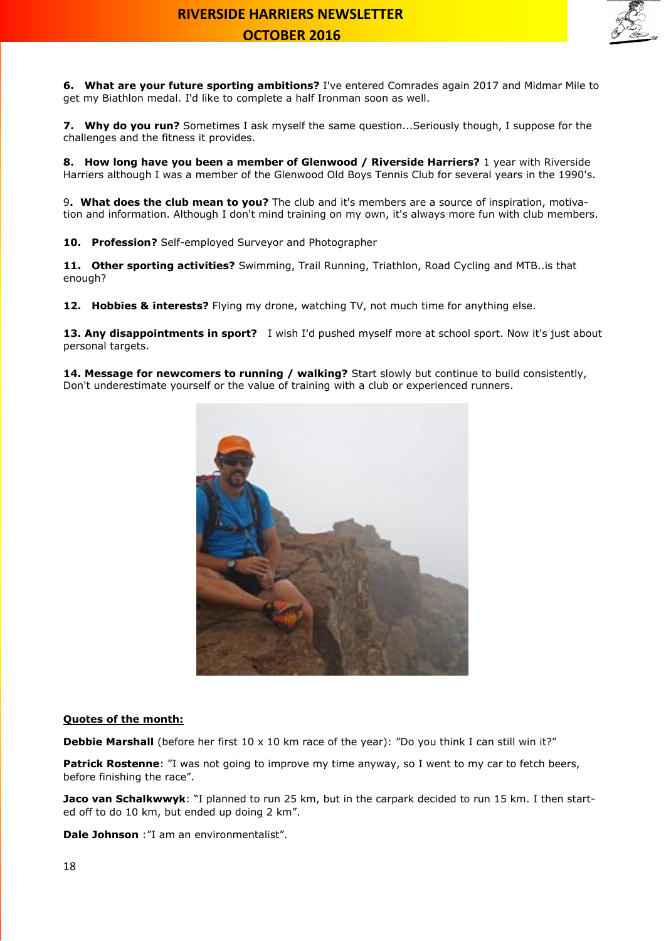

**6. What are your future sporting ambitions?** I've entered Comrades again 2017 and Midmar Mile to get my Biathlon medal. I'd like to complete a half Ironman soon as well.

**7. Why do you run?** Sometimes I ask myself the same question...Seriously though, I suppose for the challenges and the fitness it provides.

**8. How long have you been a member of Glenwood / Riverside Harriers?** 1 year with Riverside Harriers although I was a member of the Glenwood Old Boys Tennis Club for several years in the 1990's.

9**. What does the club mean to you?** The club and it's members are a source of inspiration, motivation and information. Although I don't mind training on my own, it's always more fun with club members.

**10. Profession?** Self-employed Surveyor and Photographer

**11. Other sporting activities?** Swimming, Trail Running, Triathlon, Road Cycling and MTB..is that enough?

**12. Hobbies & interests?** Flying my drone, watching TV, not much time for anything else.

**13. Any disappointments in sport?** I wish I'd pushed myself more at school sport. Now it's just about personal targets.

**14. Message for newcomers to running / walking?** Start slowly but continue to build consistently, Don't underestimate yourself or the value of training with a club or experienced runners.



#### **Quotes of the month:**

**Debbie Marshall** (before her first 10 x 10 km race of the year): "Do you think I can still win it?"

Patrick Rostenne: "I was not going to improve my time anyway, so I went to my car to fetch beers, before finishing the race".

**Jaco van Schalkwwyk**: "I planned to run 25 km, but in the carpark decided to run 15 km. I then started off to do 10 km, but ended up doing 2 km".

**Dale Johnson** :"I am an environmentalist".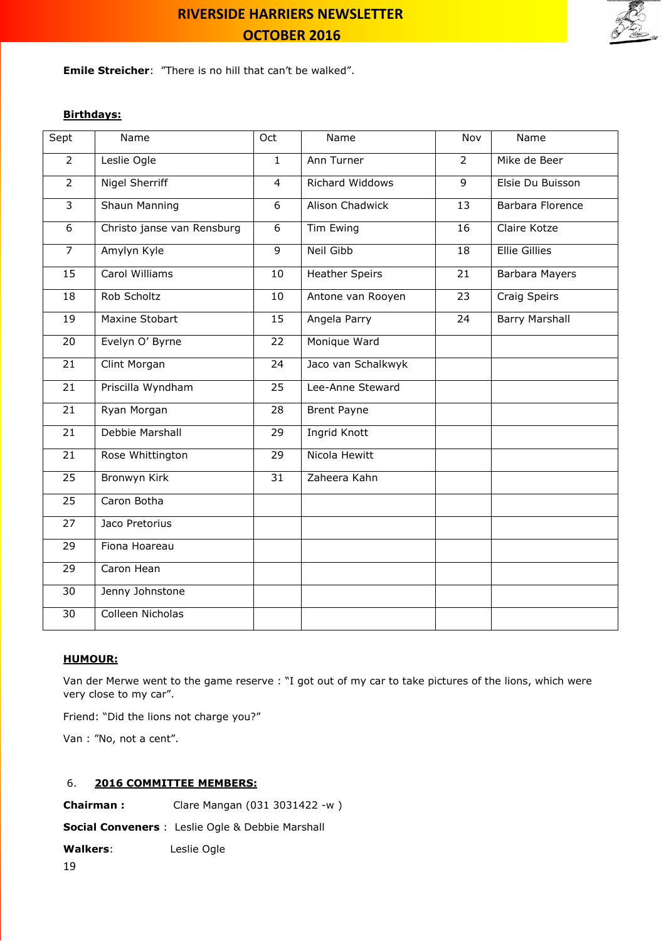

**Emile Streicher**: "There is no hill that can't be walked".

### **Birthdays:**

| Sept            | Name                       | Oct            | Name                  | Nov            | Name                  |
|-----------------|----------------------------|----------------|-----------------------|----------------|-----------------------|
| $\overline{2}$  | Leslie Ogle                | $\mathbf{1}$   | Ann Turner            | $\overline{2}$ | Mike de Beer          |
| $\overline{2}$  | <b>Nigel Sherriff</b>      | $\overline{4}$ | Richard Widdows       | 9              | Elsie Du Buisson      |
| $\overline{3}$  | <b>Shaun Manning</b>       | 6              | Alison Chadwick       | 13             | Barbara Florence      |
| 6               | Christo janse van Rensburg | 6              | Tim Ewing             | 16             | Claire Kotze          |
| $\overline{7}$  | Amylyn Kyle                | $\overline{9}$ | <b>Neil Gibb</b>      | 18             | <b>Ellie Gillies</b>  |
| 15              | Carol Williams             | 10             | <b>Heather Speirs</b> | 21             | Barbara Mayers        |
| 18              | Rob Scholtz                | 10             | Antone van Rooyen     | 23             | Craig Speirs          |
| 19              | Maxine Stobart             | 15             | Angela Parry          | 24             | <b>Barry Marshall</b> |
| 20              | Evelyn O' Byrne            | 22             | Monique Ward          |                |                       |
| 21              | Clint Morgan               | 24             | Jaco van Schalkwyk    |                |                       |
| 21              | Priscilla Wyndham          | 25             | Lee-Anne Steward      |                |                       |
| 21              | Ryan Morgan                | 28             | <b>Brent Payne</b>    |                |                       |
| 21              | Debbie Marshall            | 29             | <b>Ingrid Knott</b>   |                |                       |
| 21              | Rose Whittington           | 29             | Nicola Hewitt         |                |                       |
| $\overline{25}$ | Bronwyn Kirk               | 31             | Zaheera Kahn          |                |                       |
| 25              | Caron Botha                |                |                       |                |                       |
| 27              | Jaco Pretorius             |                |                       |                |                       |
| 29              | Fiona Hoareau              |                |                       |                |                       |
| 29              | Caron Hean                 |                |                       |                |                       |
| 30              | Jenny Johnstone            |                |                       |                |                       |
| 30              | Colleen Nicholas           |                |                       |                |                       |

#### **HUMOUR:**

Van der Merwe went to the game reserve : "I got out of my car to take pictures of the lions, which were very close to my car".

Friend: "Did the lions not charge you?"

Van : "No, not a cent".

### 6. **2016 COMMITTEE MEMBERS:**

**Chairman :** Clare Mangan (031 3031422 -w )

**Social Conveners** : Leslie Ogle & Debbie Marshall

**Walkers**: Leslie Ogle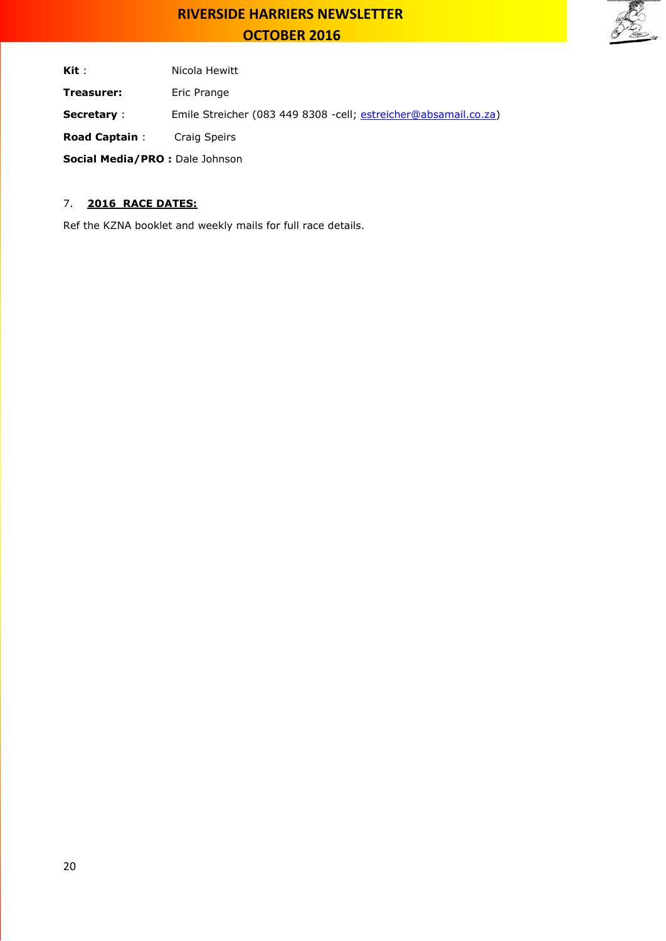

Kit : Nicola Hewitt

**Treasurer:** Eric Prange

**Secretary** : Emile Streicher (083 449 8308 -cell; [estreicher@absamail.co.za\)](mailto:estreicher@absamail.co.za)

**Road Captain** : Craig Speirs

**Social Media/PRO :** Dale Johnson

### 7. **2016 RACE DATES:**

Ref the KZNA booklet and weekly mails for full race details.